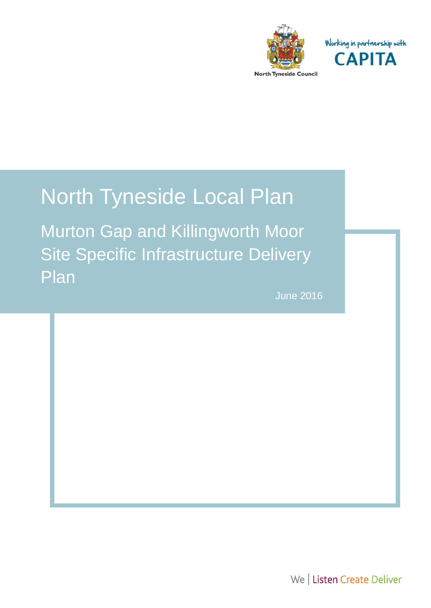

Working in partnership with **CAPITA** 

# North Tyneside Local Plan

Murton Gap and Killingworth Moor Site Specific Infrastructure Delivery Plan

1.1

June 2016

We | Listen Create Deliver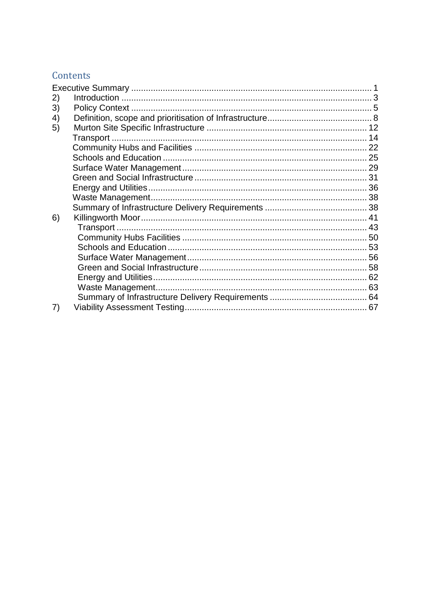# Contents

| 2) |  |
|----|--|
| 3) |  |
| 4) |  |
| 5) |  |
|    |  |
|    |  |
|    |  |
|    |  |
|    |  |
|    |  |
|    |  |
|    |  |
| 6) |  |
|    |  |
|    |  |
|    |  |
|    |  |
|    |  |
|    |  |
|    |  |
|    |  |
| 7) |  |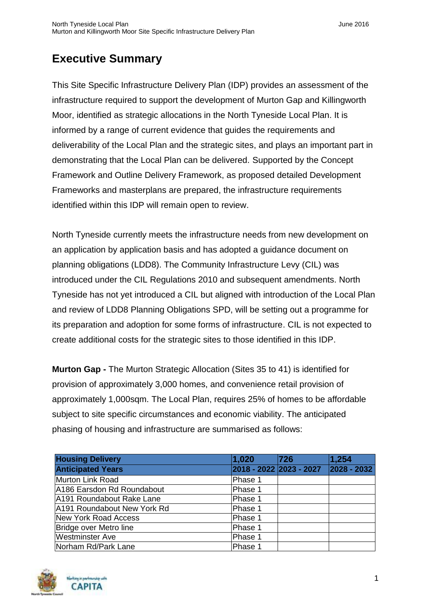# <span id="page-2-0"></span>**Executive Summary**

This Site Specific Infrastructure Delivery Plan (IDP) provides an assessment of the infrastructure required to support the development of Murton Gap and Killingworth Moor, identified as strategic allocations in the North Tyneside Local Plan. It is informed by a range of current evidence that guides the requirements and deliverability of the Local Plan and the strategic sites, and plays an important part in demonstrating that the Local Plan can be delivered. Supported by the Concept Framework and Outline Delivery Framework, as proposed detailed Development Frameworks and masterplans are prepared, the infrastructure requirements identified within this IDP will remain open to review.

North Tyneside currently meets the infrastructure needs from new development on an application by application basis and has adopted a guidance document on planning obligations (LDD8). The Community Infrastructure Levy (CIL) was introduced under the CIL Regulations 2010 and subsequent amendments. North Tyneside has not yet introduced a CIL but aligned with introduction of the Local Plan and review of LDD8 Planning Obligations SPD, will be setting out a programme for its preparation and adoption for some forms of infrastructure. CIL is not expected to create additional costs for the strategic sites to those identified in this IDP.

**Murton Gap -** The Murton Strategic Allocation (Sites 35 to 41) is identified for provision of approximately 3,000 homes, and convenience retail provision of approximately 1,000sqm. The Local Plan, requires 25% of homes to be affordable subject to site specific circumstances and economic viability. The anticipated phasing of housing and infrastructure are summarised as follows:

| <b>Housing Delivery</b>     | 1,020   | 726                     | 1,254           |
|-----------------------------|---------|-------------------------|-----------------|
| <b>Anticipated Years</b>    |         | 2018 - 2022 2023 - 2027 | $ 2028 - 2032 $ |
| Murton Link Road            | Phase 1 |                         |                 |
| A186 Earsdon Rd Roundabout  | Phase 1 |                         |                 |
| A191 Roundabout Rake Lane   | Phase 1 |                         |                 |
| A191 Roundabout New York Rd | Phase 1 |                         |                 |
| New York Road Access        | Phase 1 |                         |                 |
| Bridge over Metro line      | Phase 1 |                         |                 |
| <b>Westminster Ave</b>      | Phase 1 |                         |                 |
| Norham Rd/Park Lane         | Phase 1 |                         |                 |

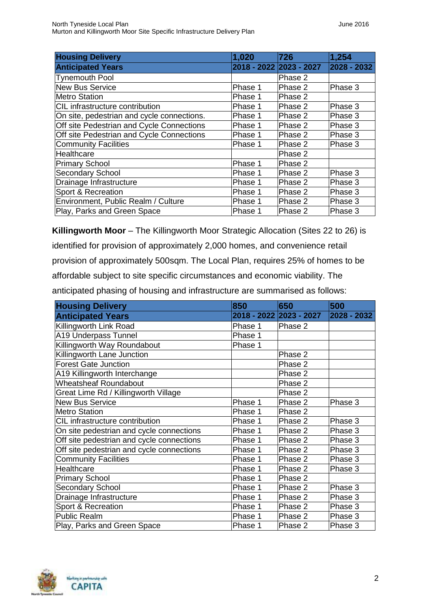| <b>Housing Delivery</b>                    | 1,020   | 726                     | 1,254       |
|--------------------------------------------|---------|-------------------------|-------------|
| <b>Anticipated Years</b>                   |         | 2018 - 2022 2023 - 2027 | 2028 - 2032 |
| <b>Tynemouth Pool</b>                      |         | Phase 2                 |             |
| <b>New Bus Service</b>                     | Phase 1 | Phase 2                 | Phase 3     |
| <b>Metro Station</b>                       | Phase 1 | Phase 2                 |             |
| CIL infrastructure contribution            | Phase 1 | Phase 2                 | Phase 3     |
| On site, pedestrian and cycle connections. | Phase 1 | Phase 2                 | Phase 3     |
| Off site Pedestrian and Cycle Connections  | Phase 1 | Phase 2                 | Phase 3     |
| Off site Pedestrian and Cycle Connections  | Phase 1 | Phase 2                 | Phase 3     |
| <b>Community Facilities</b>                | Phase 1 | Phase 2                 | Phase 3     |
| Healthcare                                 |         | Phase 2                 |             |
| <b>Primary School</b>                      | Phase 1 | Phase 2                 |             |
| <b>Secondary School</b>                    | Phase 1 | Phase 2                 | Phase 3     |
| Drainage Infrastructure                    | Phase 1 | Phase 2                 | Phase 3     |
| Sport & Recreation                         | Phase 1 | Phase 2                 | Phase 3     |
| Environment, Public Realm / Culture        | Phase 1 | Phase 2                 | Phase 3     |
| Play, Parks and Green Space                | Phase 1 | Phase 2                 | Phase 3     |

**Killingworth Moor** – The Killingworth Moor Strategic Allocation (Sites 22 to 26) is identified for provision of approximately 2,000 homes, and convenience retail provision of approximately 500sqm. The Local Plan, requires 25% of homes to be affordable subject to site specific circumstances and economic viability. The anticipated phasing of housing and infrastructure are summarised as follows:

| <b>Housing Delivery</b>                   | 850     | 650                     | 500         |
|-------------------------------------------|---------|-------------------------|-------------|
| <b>Anticipated Years</b>                  |         | 2018 - 2022 2023 - 2027 | 2028 - 2032 |
| Killingworth Link Road                    | Phase 1 | Phase 2                 |             |
| A19 Underpass Tunnel                      | Phase 1 |                         |             |
| Killingworth Way Roundabout               | Phase 1 |                         |             |
| Killingworth Lane Junction                |         | Phase 2                 |             |
| <b>Forest Gate Junction</b>               |         | Phase 2                 |             |
| A19 Killingworth Interchange              |         | Phase 2                 |             |
| <b>Wheatsheaf Roundabout</b>              |         | Phase 2                 |             |
| Great Lime Rd / Killingworth Village      |         | Phase 2                 |             |
| <b>New Bus Service</b>                    | Phase 1 | Phase 2                 | Phase 3     |
| <b>Metro Station</b>                      | Phase 1 | Phase 2                 |             |
| CIL infrastructure contribution           | Phase 1 | Phase 2                 | Phase 3     |
| On site pedestrian and cycle connections  | Phase 1 | Phase 2                 | Phase 3     |
| Off site pedestrian and cycle connections | Phase 1 | Phase 2                 | Phase 3     |
| Off site pedestrian and cycle connections | Phase 1 | Phase 2                 | Phase 3     |
| <b>Community Facilities</b>               | Phase 1 | Phase 2                 | Phase 3     |
| Healthcare                                | Phase 1 | Phase 2                 | Phase 3     |
| <b>Primary School</b>                     | Phase 1 | Phase 2                 |             |
| <b>Secondary School</b>                   | Phase 1 | Phase 2                 | Phase 3     |
| Drainage Infrastructure                   | Phase 1 | Phase 2                 | Phase 3     |
| Sport & Recreation                        | Phase 1 | Phase 2                 | Phase 3     |
| <b>Public Realm</b>                       | Phase 1 | Phase 2                 | Phase 3     |
| Play, Parks and Green Space               | Phase 1 | Phase 2                 | Phase 3     |

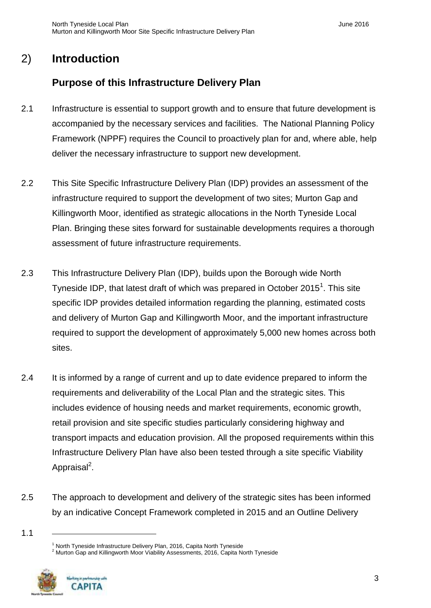# 2) **Introduction**

# <span id="page-4-0"></span>**Purpose of this Infrastructure Delivery Plan**

- 2.1 Infrastructure is essential to support growth and to ensure that future development is accompanied by the necessary services and facilities. The National Planning Policy Framework (NPPF) requires the Council to proactively plan for and, where able, help deliver the necessary infrastructure to support new development.
- 2.2 This Site Specific Infrastructure Delivery Plan (IDP) provides an assessment of the infrastructure required to support the development of two sites; Murton Gap and Killingworth Moor, identified as strategic allocations in the North Tyneside Local Plan. Bringing these sites forward for sustainable developments requires a thorough assessment of future infrastructure requirements.
- 2.3 This Infrastructure Delivery Plan (IDP), builds upon the Borough wide North Tyneside IDP, that latest draft of which was prepared in October 2015<sup>1</sup>. This site specific IDP provides detailed information regarding the planning, estimated costs and delivery of Murton Gap and Killingworth Moor, and the important infrastructure required to support the development of approximately 5,000 new homes across both sites.
- 2.4 It is informed by a range of current and up to date evidence prepared to inform the requirements and deliverability of the Local Plan and the strategic sites. This includes evidence of housing needs and market requirements, economic growth, retail provision and site specific studies particularly considering highway and transport impacts and education provision. All the proposed requirements within this Infrastructure Delivery Plan have also been tested through a site specific Viability Appraisal<sup>2</sup>.
- 2.5 The approach to development and delivery of the strategic sites has been informed by an indicative Concept Framework completed in 2015 and an Outline Delivery

<sup>&</sup>lt;sup>2</sup> Murton Gap and Killingworth Moor Viability Assessments, 2016, Capita North Tyneside



<sup>1.1</sup> 

 $1$  North Tyneside Infrastructure Delivery Plan, 2016, Capita North Tyneside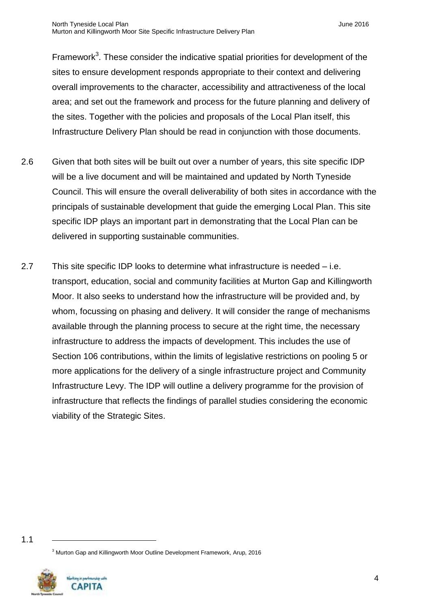Framework<sup>3</sup>. These consider the indicative spatial priorities for development of the sites to ensure development responds appropriate to their context and delivering overall improvements to the character, accessibility and attractiveness of the local area; and set out the framework and process for the future planning and delivery of the sites. Together with the policies and proposals of the Local Plan itself, this Infrastructure Delivery Plan should be read in conjunction with those documents.

- 2.6 Given that both sites will be built out over a number of years, this site specific IDP will be a live document and will be maintained and updated by North Tyneside Council. This will ensure the overall deliverability of both sites in accordance with the principals of sustainable development that guide the emerging Local Plan. This site specific IDP plays an important part in demonstrating that the Local Plan can be delivered in supporting sustainable communities.
- 2.7 This site specific IDP looks to determine what infrastructure is needed i.e. transport, education, social and community facilities at Murton Gap and Killingworth Moor. It also seeks to understand how the infrastructure will be provided and, by whom, focussing on phasing and delivery. It will consider the range of mechanisms available through the planning process to secure at the right time, the necessary infrastructure to address the impacts of development. This includes the use of Section 106 contributions, within the limits of legislative restrictions on pooling 5 or more applications for the delivery of a single infrastructure project and Community Infrastructure Levy. The IDP will outline a delivery programme for the provision of infrastructure that reflects the findings of parallel studies considering the economic viability of the Strategic Sites.

<sup>3</sup> Murton Gap and Killingworth Moor Outline Development Framework, Arup, 2016



<sup>1.1</sup>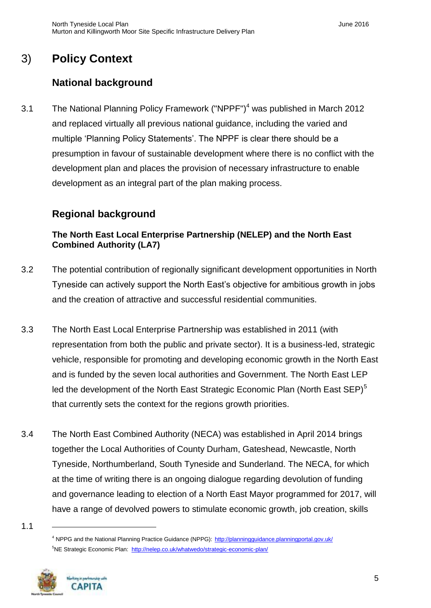# 3) **Policy Context**

# <span id="page-6-0"></span>**National background**

3.1 The National Planning Policy Framework ("NPPF")<sup>4</sup> was published in March 2012 and replaced virtually all previous national guidance, including the varied and multiple 'Planning Policy Statements'. The NPPF is clear there should be a presumption in favour of sustainable development where there is no conflict with the development plan and places the provision of necessary infrastructure to enable development as an integral part of the plan making process.

# **Regional background**

## **The North East Local Enterprise Partnership (NELEP) and the North East Combined Authority (LA7)**

- 3.2 The potential contribution of regionally significant development opportunities in North Tyneside can actively support the North East's objective for ambitious growth in jobs and the creation of attractive and successful residential communities.
- 3.3 The North East Local Enterprise Partnership was established in 2011 (with representation from both the public and private sector). It is a business-led, strategic vehicle, responsible for promoting and developing economic growth in the North East and is funded by the seven local authorities and Government. The North East LEP led the development of the North East Strategic Economic Plan (North East SEP)<sup>5</sup> that currently sets the context for the regions growth priorities.
- 3.4 The North East Combined Authority (NECA) was established in April 2014 brings together the Local Authorities of County Durham, Gateshead, Newcastle, North Tyneside, Northumberland, South Tyneside and Sunderland. The NECA, for which at the time of writing there is an ongoing dialogue regarding devolution of funding and governance leading to election of a North East Mayor programmed for 2017, will have a range of devolved powers to stimulate economic growth, job creation, skills
- 1.1

<sup>4</sup> NPPG and the National Planning Practice Guidance (NPPG): <http://planningguidance.planningportal.gov.uk/> <sup>5</sup>NE Strategic Economic Plan: <http://nelep.co.uk/whatwedo/strategic-economic-plan/>

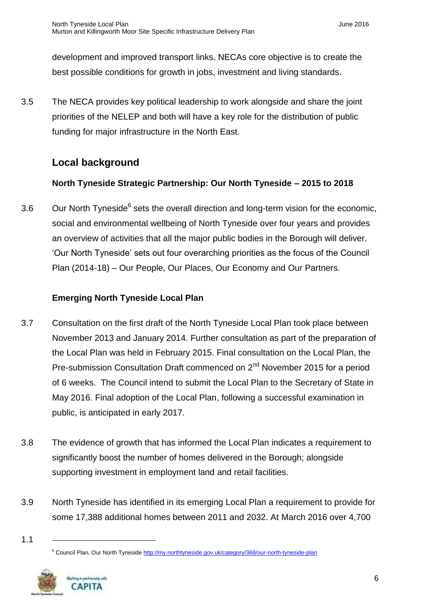development and improved transport links. NECAs core objective is to create the best possible conditions for growth in jobs, investment and living standards.

3.5 The NECA provides key political leadership to work alongside and share the joint priorities of the NELEP and both will have a key role for the distribution of public funding for major infrastructure in the North East.

## **Local background**

#### **North Tyneside Strategic Partnership: Our North Tyneside – 2015 to 2018**

3.6 Our North Tyneside<sup>6</sup> sets the overall direction and long-term vision for the economic, social and environmental wellbeing of North Tyneside over four years and provides an overview of activities that all the major public bodies in the Borough will deliver. 'Our North Tyneside' sets out four overarching priorities as the focus of the Council Plan (2014-18) – Our People, Our Places, Our Economy and Our Partners.

#### **Emerging North Tyneside Local Plan**

- 3.7 Consultation on the first draft of the North Tyneside Local Plan took place between November 2013 and January 2014. Further consultation as part of the preparation of the Local Plan was held in February 2015. Final consultation on the Local Plan, the Pre-submission Consultation Draft commenced on 2<sup>nd</sup> November 2015 for a period of 6 weeks. The Council intend to submit the Local Plan to the Secretary of State in May 2016. Final adoption of the Local Plan, following a successful examination in public, is anticipated in early 2017.
- 3.8 The evidence of growth that has informed the Local Plan indicates a requirement to significantly boost the number of homes delivered in the Borough; alongside supporting investment in employment land and retail facilities.
- 3.9 North Tyneside has identified in its emerging Local Plan a requirement to provide for some 17,388 additional homes between 2011 and 2032. At March 2016 over 4,700
- 1.1

<sup>&</sup>lt;sup>6</sup> Council Plan, Our North Tynesid[e http://my.northtyneside.gov.uk/category/368/our-north-tyneside-plan](http://my.northtyneside.gov.uk/category/368/our-north-tyneside-plan)

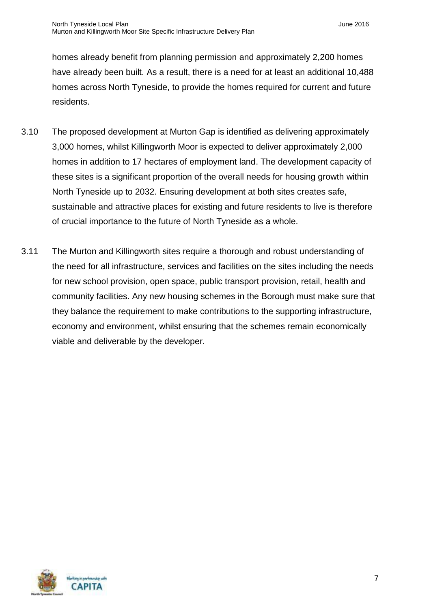homes already benefit from planning permission and approximately 2,200 homes have already been built. As a result, there is a need for at least an additional 10,488 homes across North Tyneside, to provide the homes required for current and future residents.

- 3.10 The proposed development at Murton Gap is identified as delivering approximately 3,000 homes, whilst Killingworth Moor is expected to deliver approximately 2,000 homes in addition to 17 hectares of employment land. The development capacity of these sites is a significant proportion of the overall needs for housing growth within North Tyneside up to 2032. Ensuring development at both sites creates safe, sustainable and attractive places for existing and future residents to live is therefore of crucial importance to the future of North Tyneside as a whole.
- 3.11 The Murton and Killingworth sites require a thorough and robust understanding of the need for all infrastructure, services and facilities on the sites including the needs for new school provision, open space, public transport provision, retail, health and community facilities. Any new housing schemes in the Borough must make sure that they balance the requirement to make contributions to the supporting infrastructure, economy and environment, whilst ensuring that the schemes remain economically viable and deliverable by the developer.

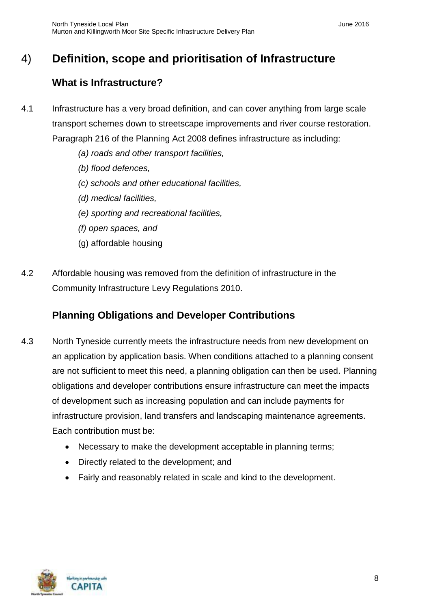# 4) **Definition, scope and prioritisation of Infrastructure**

# <span id="page-9-0"></span>**What is Infrastructure?**

- 4.1 Infrastructure has a very broad definition, and can cover anything from large scale transport schemes down to streetscape improvements and river course restoration. Paragraph 216 of the Planning Act 2008 defines infrastructure as including:
	- *(a) roads and other transport facilities,*
	- *(b) flood defences,*
	- *(c) schools and other educational facilities,*
	- *(d) medical facilities,*
	- *(e) sporting and recreational facilities,*
	- *(f) open spaces, and*
	- (g) affordable housing
- 4.2 Affordable housing was removed from the definition of infrastructure in the Community Infrastructure Levy Regulations 2010.

# **Planning Obligations and Developer Contributions**

- 4.3 North Tyneside currently meets the infrastructure needs from new development on an application by application basis. When conditions attached to a planning consent are not sufficient to meet this need, a planning obligation can then be used. Planning obligations and developer contributions ensure infrastructure can meet the impacts of development such as increasing population and can include payments for infrastructure provision, land transfers and landscaping maintenance agreements. Each contribution must be:
	- Necessary to make the development acceptable in planning terms;
	- Directly related to the development; and
	- Fairly and reasonably related in scale and kind to the development.

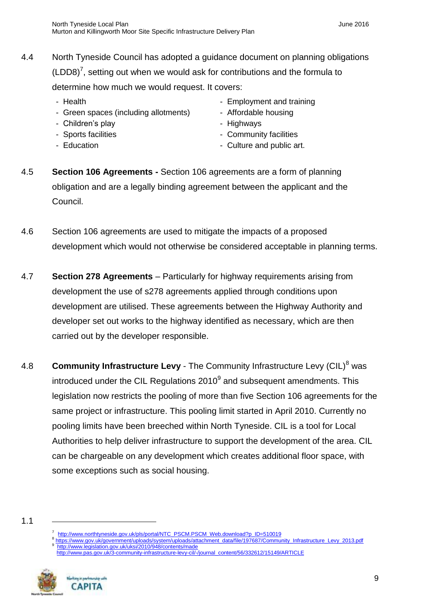- 4.4 North Tyneside Council has adopted a guidance document on planning obligations  $(LDD8)^7$ , setting out when we would ask for contributions and the formula to determine how much we would request. It covers:
	-
	- Green spaces (including allotments) Affordable housing
	- Children's play and the state of the Highways Highways
	-
	-
	- Health  **Employment and training** 
		-
		-
	- Sports facilities **Community facilities**
	- Education  **Culture and public art.**
- 4.5 **Section 106 Agreements -** Section 106 agreements are a form of planning obligation and are a legally binding agreement between the applicant and the Council.
- 4.6 Section 106 agreements are used to mitigate the impacts of a proposed development which would not otherwise be considered acceptable in planning terms.
- 4.7 **Section 278 Agreements** Particularly for highway requirements arising from development the use of s278 agreements applied through conditions upon development are utilised. These agreements between the Highway Authority and developer set out works to the highway identified as necessary, which are then carried out by the developer responsible.
- 4.8 **Community Infrastructure Levy** The Community Infrastructure Levy (CIL)<sup>8</sup> was introduced under the CIL Regulations  $2010<sup>9</sup>$  and subsequent amendments. This legislation now restricts the pooling of more than five Section 106 agreements for the same project or infrastructure. This pooling limit started in April 2010. Currently no pooling limits have been breeched within North Tyneside. CIL is a tool for Local Authorities to help deliver infrastructure to support the development of the area. CIL can be chargeable on any development which creates additional floor space, with some exceptions such as social housing.

8 [https://www.gov.uk/government/uploads/system/uploads/attachment\\_data/file/197687/Community\\_Infrastructure\\_Levy\\_2013.pdf](https://www.gov.uk/government/uploads/system/uploads/attachment_data/file/197687/Community_Infrastructure_Levy_2013.pdf) 9 <http://www.legislation.gov.uk/uksi/2010/948/contents/made>

[http://www.pas.gov.uk/3-community-infrastructure-levy-cil/-/journal\\_content/56/332612/15149/ARTICLE](http://www.pas.gov.uk/3-community-infrastructure-levy-cil/-/journal_content/56/332612/15149/ARTICLE)



**CAPITA** 

<sup>1.1</sup> 

<sup>7</sup> [http://www.northtyneside.gov.uk/pls/portal/NTC\\_PSCM.PSCM\\_Web.download?p\\_ID=510019](http://www.northtyneside.gov.uk/pls/portal/NTC_PSCM.PSCM_Web.download?p_ID=510019)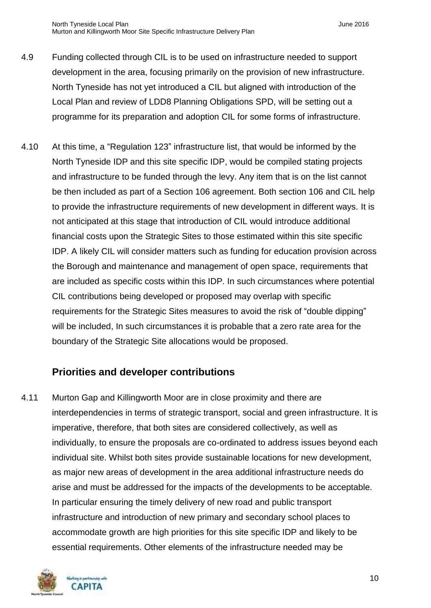- 4.9 Funding collected through CIL is to be used on infrastructure needed to support development in the area, focusing primarily on the provision of new infrastructure. North Tyneside has not yet introduced a CIL but aligned with introduction of the Local Plan and review of LDD8 Planning Obligations SPD, will be setting out a programme for its preparation and adoption CIL for some forms of infrastructure.
- 4.10 At this time, a "Regulation 123" infrastructure list, that would be informed by the North Tyneside IDP and this site specific IDP, would be compiled stating projects and infrastructure to be funded through the levy. Any item that is on the list cannot be then included as part of a Section 106 agreement. Both section 106 and CIL help to provide the infrastructure requirements of new development in different ways. It is not anticipated at this stage that introduction of CIL would introduce additional financial costs upon the Strategic Sites to those estimated within this site specific IDP. A likely CIL will consider matters such as funding for education provision across the Borough and maintenance and management of open space, requirements that are included as specific costs within this IDP. In such circumstances where potential CIL contributions being developed or proposed may overlap with specific requirements for the Strategic Sites measures to avoid the risk of "double dipping" will be included, In such circumstances it is probable that a zero rate area for the boundary of the Strategic Site allocations would be proposed.

# **Priorities and developer contributions**

4.11 Murton Gap and Killingworth Moor are in close proximity and there are interdependencies in terms of strategic transport, social and green infrastructure. It is imperative, therefore, that both sites are considered collectively, as well as individually, to ensure the proposals are co-ordinated to address issues beyond each individual site. Whilst both sites provide sustainable locations for new development, as major new areas of development in the area additional infrastructure needs do arise and must be addressed for the impacts of the developments to be acceptable. In particular ensuring the timely delivery of new road and public transport infrastructure and introduction of new primary and secondary school places to accommodate growth are high priorities for this site specific IDP and likely to be essential requirements. Other elements of the infrastructure needed may be

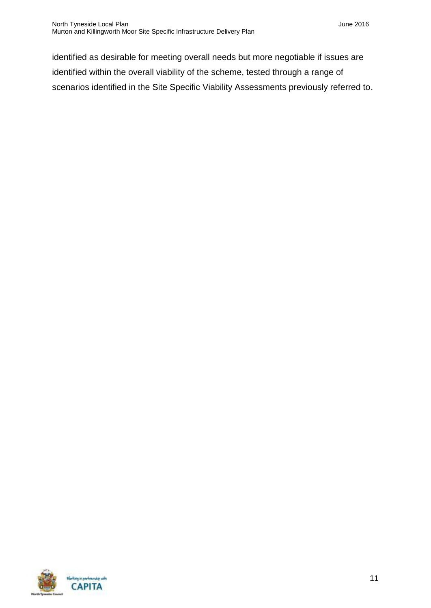identified as desirable for meeting overall needs but more negotiable if issues are identified within the overall viability of the scheme, tested through a range of scenarios identified in the Site Specific Viability Assessments previously referred to.

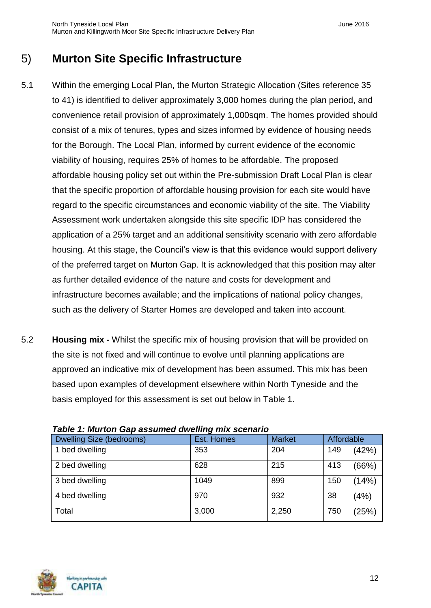# <span id="page-13-0"></span>5) **Murton Site Specific Infrastructure**

- 5.1 Within the emerging Local Plan, the Murton Strategic Allocation (Sites reference 35 to 41) is identified to deliver approximately 3,000 homes during the plan period, and convenience retail provision of approximately 1,000sqm. The homes provided should consist of a mix of tenures, types and sizes informed by evidence of housing needs for the Borough. The Local Plan, informed by current evidence of the economic viability of housing, requires 25% of homes to be affordable. The proposed affordable housing policy set out within the Pre-submission Draft Local Plan is clear that the specific proportion of affordable housing provision for each site would have regard to the specific circumstances and economic viability of the site. The Viability Assessment work undertaken alongside this site specific IDP has considered the application of a 25% target and an additional sensitivity scenario with zero affordable housing. At this stage, the Council's view is that this evidence would support delivery of the preferred target on Murton Gap. It is acknowledged that this position may alter as further detailed evidence of the nature and costs for development and infrastructure becomes available; and the implications of national policy changes, such as the delivery of Starter Homes are developed and taken into account.
- 5.2 **Housing mix -** Whilst the specific mix of housing provision that will be provided on the site is not fixed and will continue to evolve until planning applications are approved an indicative mix of development has been assumed. This mix has been based upon examples of development elsewhere within North Tyneside and the basis employed for this assessment is set out below in Table 1.

| Dwelling Size (bedrooms) | Est. Homes | <b>Market</b> | <b>Affordable</b> |       |
|--------------------------|------------|---------------|-------------------|-------|
| 1 bed dwelling           | 353        | 204           | 149               | (42%) |
| 2 bed dwelling           | 628        | 215           | 413               | (66%) |
| 3 bed dwelling           | 1049       | 899           | 150               | (14%) |
| 4 bed dwelling           | 970        | 932           | 38                | (4%)  |
| Total                    | 3,000      | 2,250         | 750               | (25%) |

#### *Table 1: Murton Gap assumed dwelling mix scenario*

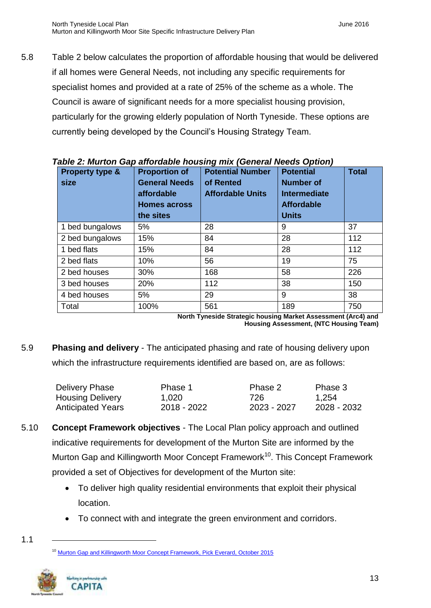5.8 Table 2 below calculates the proportion of affordable housing that would be delivered if all homes were General Needs, not including any specific requirements for specialist homes and provided at a rate of 25% of the scheme as a whole. The Council is aware of significant needs for a more specialist housing provision, particularly for the growing elderly population of North Tyneside. These options are currently being developed by the Council's Housing Strategy Team.

| awio 2. marton cap anoraawio noaonig mix (conorar nooao option)<br>Property type &<br>size | <b>Proportion of</b><br><b>General Needs</b><br>affordable<br><b>Homes across</b> | <b>Potential Number</b><br>of Rented<br><b>Affordable Units</b> | <b>Potential</b><br><b>Number of</b><br>Intermediate<br><b>Affordable</b> | <b>Total</b> |
|--------------------------------------------------------------------------------------------|-----------------------------------------------------------------------------------|-----------------------------------------------------------------|---------------------------------------------------------------------------|--------------|
|                                                                                            | the sites                                                                         |                                                                 | <b>Units</b>                                                              |              |
| 1 bed bungalows                                                                            | 5%                                                                                | 28                                                              | 9                                                                         | 37           |
| 2 bed bungalows                                                                            | 15%                                                                               | 84                                                              | 28                                                                        | 112          |
| 1 bed flats                                                                                | 15%                                                                               | 84                                                              | 28                                                                        | 112          |
| 2 bed flats                                                                                | 10%                                                                               | 56                                                              | 19                                                                        | 75           |
| 2 bed houses                                                                               | 30%                                                                               | 168                                                             | 58                                                                        | 226          |
| 3 bed houses                                                                               | 20%                                                                               | 112                                                             | 38                                                                        | 150          |
| 4 bed houses                                                                               | 5%                                                                                | 29                                                              | 9                                                                         | 38           |
| Total                                                                                      | 100%                                                                              | 561                                                             | 189                                                                       | 750          |

*Table 2: Murton Gap affordable housing mix (General Needs Option)*

**North Tyneside Strategic housing Market Assessment (Arc4) and Housing Assessment, (NTC Housing Team)**

5.9 **Phasing and delivery** - The anticipated phasing and rate of housing delivery upon which the infrastructure requirements identified are based on, are as follows:

| Delivery Phase           | Phase 1     | Phase 2     | Phase 3     |
|--------------------------|-------------|-------------|-------------|
| <b>Housing Delivery</b>  | 1,020       | 726         | 1,254       |
| <b>Anticipated Years</b> | 2018 - 2022 | 2023 - 2027 | 2028 - 2032 |

- 5.10 **Concept Framework objectives**  The Local Plan policy approach and outlined indicative requirements for development of the Murton Site are informed by the Murton Gap and Killingworth Moor Concept Framework<sup>10</sup>. This Concept Framework provided a set of Objectives for development of the Murton site:
	- To deliver high quality residential environments that exploit their physical location.
	- To connect with and integrate the green environment and corridors.

[Murton Gap and Killingworth Moor Concept Framework, Pick Everard, October 2015](http://www.northtyneside.gov.uk/pls/portal/NTC_PSCM.PSCM_Web.download?p_ID=562648)



<sup>1.1</sup>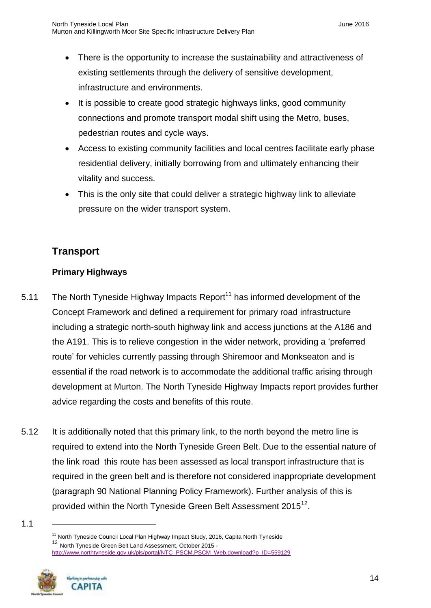- There is the opportunity to increase the sustainability and attractiveness of existing settlements through the delivery of sensitive development, infrastructure and environments.
- It is possible to create good strategic highways links, good community connections and promote transport modal shift using the Metro, buses, pedestrian routes and cycle ways.
- Access to existing community facilities and local centres facilitate early phase residential delivery, initially borrowing from and ultimately enhancing their vitality and success.
- This is the only site that could deliver a strategic highway link to alleviate pressure on the wider transport system.

## <span id="page-15-0"></span>**Transport**

#### **Primary Highways**

- 5.11 The North Tyneside Highway Impacts Report<sup>11</sup> has informed development of the Concept Framework and defined a requirement for primary road infrastructure including a strategic north-south highway link and access junctions at the A186 and the A191. This is to relieve congestion in the wider network, providing a 'preferred route' for vehicles currently passing through Shiremoor and Monkseaton and is essential if the road network is to accommodate the additional traffic arising through development at Murton. The North Tyneside Highway Impacts report provides further advice regarding the costs and benefits of this route.
- 5.12 It is additionally noted that this primary link, to the north beyond the metro line is required to extend into the North Tyneside Green Belt. Due to the essential nature of the link road this route has been assessed as local transport infrastructure that is required in the green belt and is therefore not considered inappropriate development (paragraph 90 National Planning Policy Framework). Further analysis of this is provided within the North Tyneside Green Belt Assessment 2015 $^{12}$ .

<sup>&</sup>lt;sup>11</sup> North Tyneside Council Local Plan Highway Impact Study, 2016, Capita North Tyneside <sup>12</sup> North Tyneside Green Belt Land Assessment, October 2015 [http://www.northtyneside.gov.uk/pls/portal/NTC\\_PSCM.PSCM\\_Web.download?p\\_ID=559129](http://www.northtyneside.gov.uk/pls/portal/NTC_PSCM.PSCM_Web.download?p_ID=559129)



<sup>1.1</sup>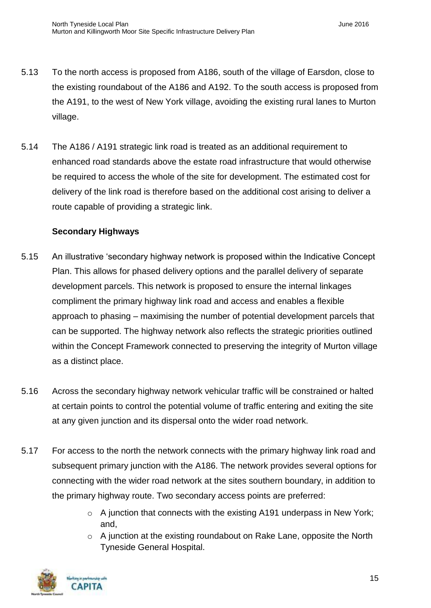- 5.13 To the north access is proposed from A186, south of the village of Earsdon, close to the existing roundabout of the A186 and A192. To the south access is proposed from the A191, to the west of New York village, avoiding the existing rural lanes to Murton village.
- 5.14 The A186 / A191 strategic link road is treated as an additional requirement to enhanced road standards above the estate road infrastructure that would otherwise be required to access the whole of the site for development. The estimated cost for delivery of the link road is therefore based on the additional cost arising to deliver a route capable of providing a strategic link.

#### **Secondary Highways**

- 5.15 An illustrative 'secondary highway network is proposed within the Indicative Concept Plan. This allows for phased delivery options and the parallel delivery of separate development parcels. This network is proposed to ensure the internal linkages compliment the primary highway link road and access and enables a flexible approach to phasing – maximising the number of potential development parcels that can be supported. The highway network also reflects the strategic priorities outlined within the Concept Framework connected to preserving the integrity of Murton village as a distinct place.
- 5.16 Across the secondary highway network vehicular traffic will be constrained or halted at certain points to control the potential volume of traffic entering and exiting the site at any given junction and its dispersal onto the wider road network.
- 5.17 For access to the north the network connects with the primary highway link road and subsequent primary junction with the A186. The network provides several options for connecting with the wider road network at the sites southern boundary, in addition to the primary highway route. Two secondary access points are preferred:
	- o A junction that connects with the existing A191 underpass in New York; and,
	- o A junction at the existing roundabout on Rake Lane, opposite the North Tyneside General Hospital.

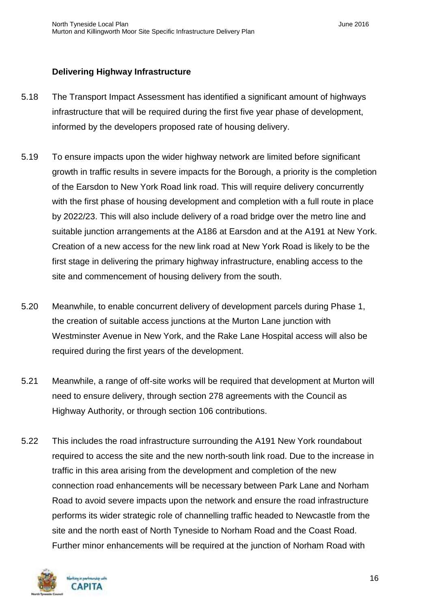#### **Delivering Highway Infrastructure**

- 5.18 The Transport Impact Assessment has identified a significant amount of highways infrastructure that will be required during the first five year phase of development, informed by the developers proposed rate of housing delivery.
- 5.19 To ensure impacts upon the wider highway network are limited before significant growth in traffic results in severe impacts for the Borough, a priority is the completion of the Earsdon to New York Road link road. This will require delivery concurrently with the first phase of housing development and completion with a full route in place by 2022/23. This will also include delivery of a road bridge over the metro line and suitable junction arrangements at the A186 at Earsdon and at the A191 at New York. Creation of a new access for the new link road at New York Road is likely to be the first stage in delivering the primary highway infrastructure, enabling access to the site and commencement of housing delivery from the south.
- 5.20 Meanwhile, to enable concurrent delivery of development parcels during Phase 1, the creation of suitable access junctions at the Murton Lane junction with Westminster Avenue in New York, and the Rake Lane Hospital access will also be required during the first years of the development.
- 5.21 Meanwhile, a range of off-site works will be required that development at Murton will need to ensure delivery, through section 278 agreements with the Council as Highway Authority, or through section 106 contributions.
- 5.22 This includes the road infrastructure surrounding the A191 New York roundabout required to access the site and the new north-south link road. Due to the increase in traffic in this area arising from the development and completion of the new connection road enhancements will be necessary between Park Lane and Norham Road to avoid severe impacts upon the network and ensure the road infrastructure performs its wider strategic role of channelling traffic headed to Newcastle from the site and the north east of North Tyneside to Norham Road and the Coast Road. Further minor enhancements will be required at the junction of Norham Road with

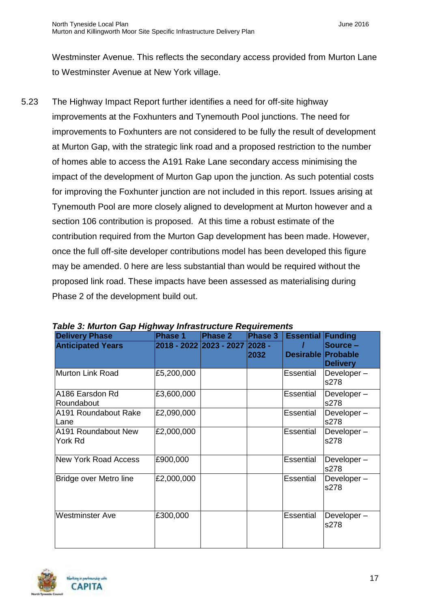Westminster Avenue. This reflects the secondary access provided from Murton Lane to Westminster Avenue at New York village.

5.23 The Highway Impact Report further identifies a need for off-site highway improvements at the Foxhunters and Tynemouth Pool junctions. The need for improvements to Foxhunters are not considered to be fully the result of development at Murton Gap, with the strategic link road and a proposed restriction to the number of homes able to access the A191 Rake Lane secondary access minimising the impact of the development of Murton Gap upon the junction. As such potential costs for improving the Foxhunter junction are not included in this report. Issues arising at Tynemouth Pool are more closely aligned to development at Murton however and a section 106 contribution is proposed. At this time a robust estimate of the contribution required from the Murton Gap development has been made. However, once the full off-site developer contributions model has been developed this figure may be amended. 0 here are less substantial than would be required without the proposed link road. These impacts have been assessed as materialising during Phase 2 of the development build out.

| <b>Delivery Phase</b>          | <b>Phase 1</b> | <b>Phase 2</b>          | Phase 3        | <b>Essential Funding</b>  |                             |
|--------------------------------|----------------|-------------------------|----------------|---------------------------|-----------------------------|
| <b>Anticipated Years</b>       |                | 2018 - 2022 2023 - 2027 | 2028 -<br>2032 | <b>Desirable Probable</b> | Source –<br><b>Delivery</b> |
| <b>Murton Link Road</b>        | £5,200,000     |                         |                | Essential                 | Developer-<br>s278          |
| A186 Earsdon Rd<br>Roundabout  | £3,600,000     |                         |                | Essential                 | Developer-<br>s278          |
| A191 Roundabout Rake<br>Lane   | £2,090,000     |                         |                | Essential                 | Developer-<br>s278          |
| A191 Roundabout New<br>York Rd | £2,000,000     |                         |                | Essential                 | Developer-<br>s278          |
| <b>New York Road Access</b>    | £900,000       |                         |                | Essential                 | Developer-<br>s278          |
| <b>Bridge over Metro line</b>  | £2,000,000     |                         |                | Essential                 | Developer-<br>s278          |
| <b>Westminster Ave</b>         | £300,000       |                         |                | Essential                 | Developer-<br>s278          |

*Table 3: Murton Gap Highway Infrastructure Requirements*

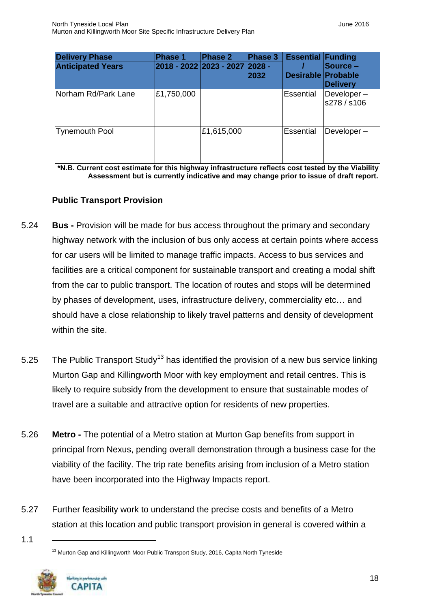| <b>Delivery Phase</b>    | Phase 1                        | Phase 2    | Phase 3 | <b>Essential Funding</b>  |                             |
|--------------------------|--------------------------------|------------|---------|---------------------------|-----------------------------|
| <b>Anticipated Years</b> | 2018 - 2022 2023 - 2027 2028 - |            | 2032    | <b>Desirable Probable</b> | Source -<br><b>Delivery</b> |
| Norham Rd/Park Lane      | £1,750,000                     |            |         | Essential                 | Developer-<br>s278 / s106   |
| Tynemouth Pool           |                                | £1,615,000 |         | <b>Essential</b>          | Developer-                  |

**\*N.B. Current cost estimate for this highway infrastructure reflects cost tested by the Viability Assessment but is currently indicative and may change prior to issue of draft report.**

#### **Public Transport Provision**

- 5.24 **Bus -** Provision will be made for bus access throughout the primary and secondary highway network with the inclusion of bus only access at certain points where access for car users will be limited to manage traffic impacts. Access to bus services and facilities are a critical component for sustainable transport and creating a modal shift from the car to public transport. The location of routes and stops will be determined by phases of development, uses, infrastructure delivery, commerciality etc… and should have a close relationship to likely travel patterns and density of development within the site.
- 5.25 The Public Transport Study<sup>13</sup> has identified the provision of a new bus service linking Murton Gap and Killingworth Moor with key employment and retail centres. This is likely to require subsidy from the development to ensure that sustainable modes of travel are a suitable and attractive option for residents of new properties.
- 5.26 **Metro -** The potential of a Metro station at Murton Gap benefits from support in principal from Nexus, pending overall demonstration through a business case for the viability of the facility. The trip rate benefits arising from inclusion of a Metro station have been incorporated into the Highway Impacts report.
- 5.27 Further feasibility work to understand the precise costs and benefits of a Metro station at this location and public transport provision in general is covered within a

<sup>&</sup>lt;sup>13</sup> Murton Gap and Killingworth Moor Public Transport Study, 2016, Capita North Tyneside



<sup>1.1</sup>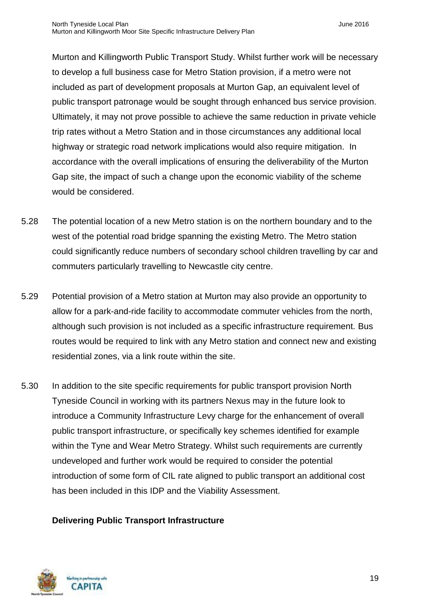Murton and Killingworth Public Transport Study. Whilst further work will be necessary to develop a full business case for Metro Station provision, if a metro were not included as part of development proposals at Murton Gap, an equivalent level of public transport patronage would be sought through enhanced bus service provision. Ultimately, it may not prove possible to achieve the same reduction in private vehicle trip rates without a Metro Station and in those circumstances any additional local highway or strategic road network implications would also require mitigation. In accordance with the overall implications of ensuring the deliverability of the Murton Gap site, the impact of such a change upon the economic viability of the scheme would be considered.

- 5.28 The potential location of a new Metro station is on the northern boundary and to the west of the potential road bridge spanning the existing Metro. The Metro station could significantly reduce numbers of secondary school children travelling by car and commuters particularly travelling to Newcastle city centre.
- 5.29 Potential provision of a Metro station at Murton may also provide an opportunity to allow for a park-and-ride facility to accommodate commuter vehicles from the north, although such provision is not included as a specific infrastructure requirement. Bus routes would be required to link with any Metro station and connect new and existing residential zones, via a link route within the site.
- 5.30 In addition to the site specific requirements for public transport provision North Tyneside Council in working with its partners Nexus may in the future look to introduce a Community Infrastructure Levy charge for the enhancement of overall public transport infrastructure, or specifically key schemes identified for example within the Tyne and Wear Metro Strategy. Whilst such requirements are currently undeveloped and further work would be required to consider the potential introduction of some form of CIL rate aligned to public transport an additional cost has been included in this IDP and the Viability Assessment.

#### **Delivering Public Transport Infrastructure**

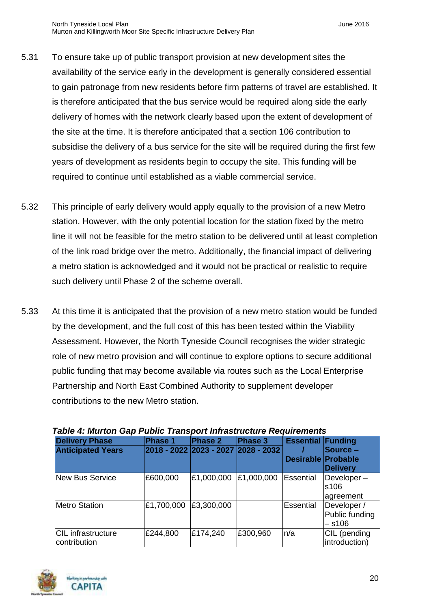- 5.31 To ensure take up of public transport provision at new development sites the availability of the service early in the development is generally considered essential to gain patronage from new residents before firm patterns of travel are established. It is therefore anticipated that the bus service would be required along side the early delivery of homes with the network clearly based upon the extent of development of the site at the time. It is therefore anticipated that a section 106 contribution to subsidise the delivery of a bus service for the site will be required during the first few years of development as residents begin to occupy the site. This funding will be required to continue until established as a viable commercial service.
- 5.32 This principle of early delivery would apply equally to the provision of a new Metro station. However, with the only potential location for the station fixed by the metro line it will not be feasible for the metro station to be delivered until at least completion of the link road bridge over the metro. Additionally, the financial impact of delivering a metro station is acknowledged and it would not be practical or realistic to require such delivery until Phase 2 of the scheme overall.
- 5.33 At this time it is anticipated that the provision of a new metro station would be funded by the development, and the full cost of this has been tested within the Viability Assessment. However, the North Tyneside Council recognises the wider strategic role of new metro provision and will continue to explore options to secure additional public funding that may become available via routes such as the Local Enterprise Partnership and North East Combined Authority to supplement developer contributions to the new Metro station.

| <b>Delivery Phase</b>     | Phase 1                             | Phase 2    | Phase 3    | <b>Essential Funding</b>  |                 |
|---------------------------|-------------------------------------|------------|------------|---------------------------|-----------------|
| <b>Anticipated Years</b>  | 2018 - 2022 2023 - 2027 2028 - 2032 |            |            |                           | Source –        |
|                           |                                     |            |            | <b>Desirable Probable</b> |                 |
|                           |                                     |            |            |                           | <b>Delivery</b> |
| New Bus Service           | £600,000                            | £1,000,000 | £1,000,000 | Essential                 | Developer-      |
|                           |                                     |            |            |                           | s106            |
|                           |                                     |            |            |                           | agreement       |
| <b>Metro Station</b>      | £1,700,000                          | £3,300,000 |            | Essential                 | Developer /     |
|                           |                                     |            |            |                           | Public funding  |
|                           |                                     |            |            |                           | – s106          |
| <b>CIL</b> infrastructure | £244,800                            | £174,240   | £300,960   | n/a                       | CIL (pending    |
| contribution              |                                     |            |            |                           | introduction)   |

#### *Table 4: Murton Gap Public Transport Infrastructure Requirements*

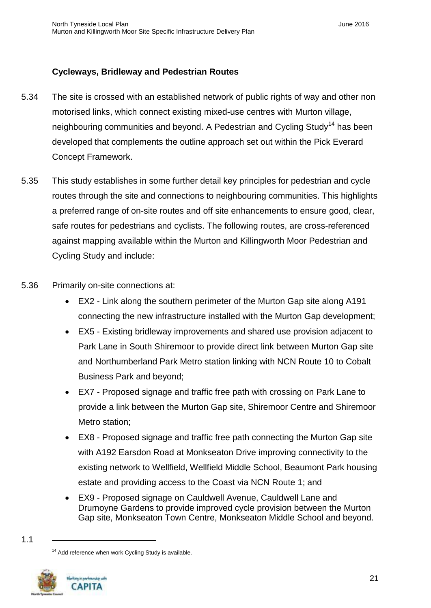#### **Cycleways, Bridleway and Pedestrian Routes**

- 5.34 The site is crossed with an established network of public rights of way and other non motorised links, which connect existing mixed-use centres with Murton village, neighbouring communities and beyond. A Pedestrian and Cycling Study<sup>14</sup> has been developed that complements the outline approach set out within the Pick Everard Concept Framework.
- 5.35 This study establishes in some further detail key principles for pedestrian and cycle routes through the site and connections to neighbouring communities. This highlights a preferred range of on-site routes and off site enhancements to ensure good, clear, safe routes for pedestrians and cyclists. The following routes, are cross-referenced against mapping available within the Murton and Killingworth Moor Pedestrian and Cycling Study and include:
- 5.36 Primarily on-site connections at:
	- EX2 Link along the southern perimeter of the Murton Gap site along A191 connecting the new infrastructure installed with the Murton Gap development;
	- EX5 Existing bridleway improvements and shared use provision adjacent to Park Lane in South Shiremoor to provide direct link between Murton Gap site and Northumberland Park Metro station linking with NCN Route 10 to Cobalt Business Park and beyond;
	- EX7 Proposed signage and traffic free path with crossing on Park Lane to provide a link between the Murton Gap site, Shiremoor Centre and Shiremoor Metro station;
	- EX8 Proposed signage and traffic free path connecting the Murton Gap site with A192 Earsdon Road at Monkseaton Drive improving connectivity to the existing network to Wellfield, Wellfield Middle School, Beaumont Park housing estate and providing access to the Coast via NCN Route 1; and
	- EX9 Proposed signage on Cauldwell Avenue, Cauldwell Lane and Drumoyne Gardens to provide improved cycle provision between the Murton Gap site, Monkseaton Town Centre, Monkseaton Middle School and beyond.

<sup>&</sup>lt;sup>14</sup> Add reference when work Cycling Study is available.



<sup>1.1</sup>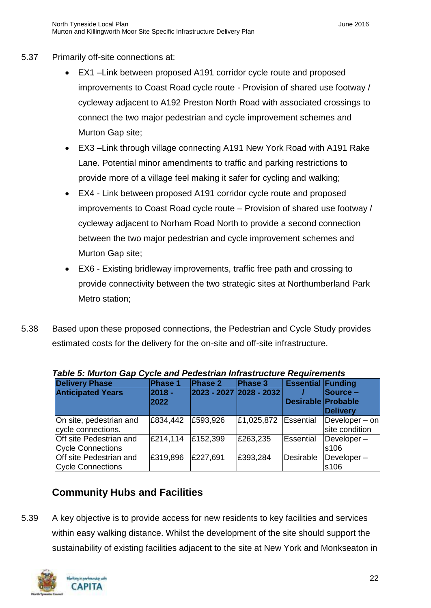- 5.37 Primarily off-site connections at:
	- EX1 –Link between proposed A191 corridor cycle route and proposed improvements to Coast Road cycle route - Provision of shared use footway / cycleway adjacent to A192 Preston North Road with associated crossings to connect the two major pedestrian and cycle improvement schemes and Murton Gap site;
	- EX3 –Link through village connecting A191 New York Road with A191 Rake Lane. Potential minor amendments to traffic and parking restrictions to provide more of a village feel making it safer for cycling and walking;
	- EX4 Link between proposed A191 corridor cycle route and proposed improvements to Coast Road cycle route – Provision of shared use footway / cycleway adjacent to Norham Road North to provide a second connection between the two major pedestrian and cycle improvement schemes and Murton Gap site;
	- EX6 Existing bridleway improvements, traffic free path and crossing to provide connectivity between the two strategic sites at Northumberland Park Metro station;
- 5.38 Based upon these proposed connections, the Pedestrian and Cycle Study provides estimated costs for the delivery for the on-site and off-site infrastructure.

| rable 5. Murton Gap Cycle and Fedestrian initiasu ucture Reguliements |                |                         |            |                           |                                     |  |  |
|-----------------------------------------------------------------------|----------------|-------------------------|------------|---------------------------|-------------------------------------|--|--|
| <b>Delivery Phase</b>                                                 | Phase 1        | <b>Phase 2</b>          | Phase 3    | <b>Essential Funding</b>  |                                     |  |  |
| <b>Anticipated Years</b>                                              | 2018 -<br>2022 | 2023 - 2027 2028 - 2032 |            | <b>Desirable Probable</b> | Source -<br><b>Delivery</b>         |  |  |
| On site, pedestrian and<br>cycle connections.                         | £834,442       | £593,926                | £1,025,872 | Essential                 | $De$ veloper – on<br>site condition |  |  |
| Off site Pedestrian and<br>Cycle Connections                          | £214.114       | £152,399                | £263,235   | Essential                 | Developer-<br>ls106                 |  |  |
| Off site Pedestrian and<br><b>Cycle Connections</b>                   | £319,896       | £227,691                | £393,284   | Desirable                 | $De$ veloper $-$<br>s106            |  |  |

| Table 5: Murton Gap Cycle and Pedestrian Infrastructure Requirements |  |  |  |
|----------------------------------------------------------------------|--|--|--|

# <span id="page-23-0"></span>**Community Hubs and Facilities**

5.39 A key objective is to provide access for new residents to key facilities and services within easy walking distance. Whilst the development of the site should support the sustainability of existing facilities adjacent to the site at New York and Monkseaton in

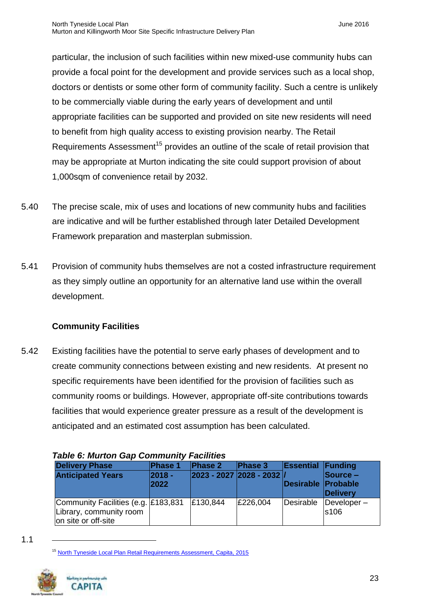particular, the inclusion of such facilities within new mixed-use community hubs can provide a focal point for the development and provide services such as a local shop, doctors or dentists or some other form of community facility. Such a centre is unlikely to be commercially viable during the early years of development and until appropriate facilities can be supported and provided on site new residents will need to benefit from high quality access to existing provision nearby. The Retail Requirements Assessment<sup>15</sup> provides an outline of the scale of retail provision that may be appropriate at Murton indicating the site could support provision of about 1,000sqm of convenience retail by 2032.

- 5.40 The precise scale, mix of uses and locations of new community hubs and facilities are indicative and will be further established through later Detailed Development Framework preparation and masterplan submission.
- 5.41 Provision of community hubs themselves are not a costed infrastructure requirement as they simply outline an opportunity for an alternative land use within the overall development.

## **Community Facilities**

5.42 Existing facilities have the potential to serve early phases of development and to create community connections between existing and new residents. At present no specific requirements have been identified for the provision of facilities such as community rooms or buildings. However, appropriate off-site contributions towards facilities that would experience greater pressure as a result of the development is anticipated and an estimated cost assumption has been calculated.

| <b>Delivery Phase</b><br><b>Anticipated Years</b>                                     | <b>Phase 1</b><br>2018 -<br>2022 | Phase 2<br>2023 - 2027 2028 - 2032 / | Phase 3  | <b>Essential Funding</b><br>Desirable Probable | $\textsf{Source}$ –<br>Delivery       |
|---------------------------------------------------------------------------------------|----------------------------------|--------------------------------------|----------|------------------------------------------------|---------------------------------------|
| Community Facilities (e.g. £183,831<br>Library, community room<br>on site or off-site |                                  | £130,844                             | £226,004 | Desirable                                      | $\Delta$ Developer $-$<br><b>s106</b> |

*Table 6: Murton Gap Community Facilities*

<sup>&</sup>lt;sup>15</sup> North Tyneside Local Plan [Retail Requirements Assessment, Capita, 2015](http://www.northtyneside.gov.uk/pls/portal/NTC_PSCM.PSCM_Web.download?p_ID=562458)



<sup>1.1</sup>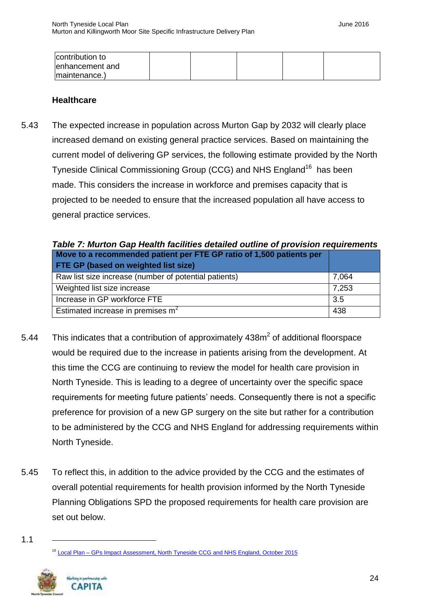| contribution to  |  |  |  |
|------------------|--|--|--|
| lenhancement and |  |  |  |
| maintenance.)    |  |  |  |

#### **Healthcare**

5.43 The expected increase in population across Murton Gap by 2032 will clearly place increased demand on existing general practice services. Based on maintaining the current model of delivering GP services, the following estimate provided by the North Tyneside Clinical Commissioning Group (CCG) and NHS England<sup>16</sup> has been made. This considers the increase in workforce and premises capacity that is projected to be needed to ensure that the increased population all have access to general practice services.

| Table 7: Murton Gap Health facilities detailed outline of provision requirements |       |  |  |  |  |
|----------------------------------------------------------------------------------|-------|--|--|--|--|
| Move to a recommended patient per FTE GP ratio of 1,500 patients per             |       |  |  |  |  |
| <b>FTE GP (based on weighted list size)</b>                                      |       |  |  |  |  |
| Raw list size increase (number of potential patients)                            | 7,064 |  |  |  |  |
| Weighted list size increase                                                      | 7,253 |  |  |  |  |
| Increase in GP workforce FTE                                                     | 3.5   |  |  |  |  |
| Estimated increase in premises $m2$                                              | 438   |  |  |  |  |

- 5.44 This indicates that a contribution of approximately  $438m^2$  of additional floorspace would be required due to the increase in patients arising from the development. At this time the CCG are continuing to review the model for health care provision in North Tyneside. This is leading to a degree of uncertainty over the specific space requirements for meeting future patients' needs. Consequently there is not a specific preference for provision of a new GP surgery on the site but rather for a contribution to be administered by the CCG and NHS England for addressing requirements within North Tyneside.
- 5.45 To reflect this, in addition to the advice provided by the CCG and the estimates of overall potential requirements for health provision informed by the North Tyneside Planning Obligations SPD the proposed requirements for health care provision are set out below.

<sup>&</sup>lt;sup>16</sup> Local Plan – [GPs Impact Assessment, North Tyneside CCG and NHS England, October 2015](http://www.northtyneside.gov.uk/pls/portal/NTC_PSCM.PSCM_Web.download?p_ID=562559)



24

<sup>1.1</sup>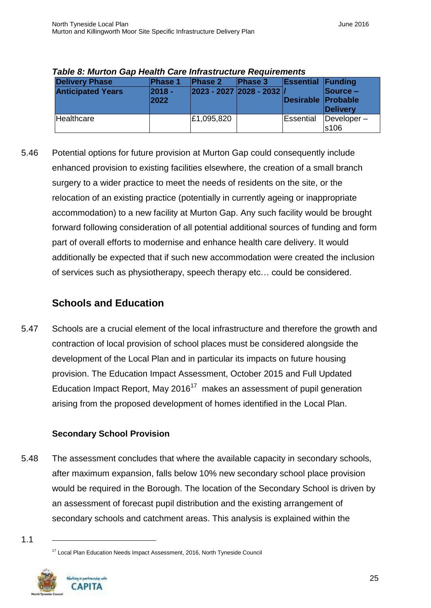| <b>Delivery Phase</b><br><b>Anticipated Years</b> | <b>Phase 1</b><br>$ 2018 -$<br>2022 | <b>Phase 2</b><br>$ 2023 - 2027 2028 - 2032 $ | <b>Phase 3</b> | <b>Essential Funding</b><br>Desirable Probable | $\textsf{Source}$ –<br>Delivery |
|---------------------------------------------------|-------------------------------------|-----------------------------------------------|----------------|------------------------------------------------|---------------------------------|
| Healthcare                                        |                                     | £1,095,820                                    |                | Essential                                      | $\Delta$ Developer $-$<br>s106  |

*Table 8: Murton Gap Health Care Infrastructure Requirements*

5.46 Potential options for future provision at Murton Gap could consequently include enhanced provision to existing facilities elsewhere, the creation of a small branch surgery to a wider practice to meet the needs of residents on the site, or the relocation of an existing practice (potentially in currently ageing or inappropriate accommodation) to a new facility at Murton Gap. Any such facility would be brought forward following consideration of all potential additional sources of funding and form part of overall efforts to modernise and enhance health care delivery. It would additionally be expected that if such new accommodation were created the inclusion of services such as physiotherapy, speech therapy etc… could be considered.

# <span id="page-26-0"></span>**Schools and Education**

5.47 Schools are a crucial element of the local infrastructure and therefore the growth and contraction of local provision of school places must be considered alongside the development of the Local Plan and in particular its impacts on future housing provision. The Education Impact Assessment, October 2015 and Full Updated Education Impact Report, May 2016<sup>17</sup> makes an assessment of pupil generation arising from the proposed development of homes identified in the Local Plan.

#### **Secondary School Provision**

5.48 The assessment concludes that where the available capacity in secondary schools, after maximum expansion, falls below 10% new secondary school place provision would be required in the Borough. The location of the Secondary School is driven by an assessment of forecast pupil distribution and the existing arrangement of secondary schools and catchment areas. This analysis is explained within the

<sup>&</sup>lt;sup>17</sup> Local Plan Education Needs Impact Assessment, 2016, North Tyneside Council



<sup>1.1</sup>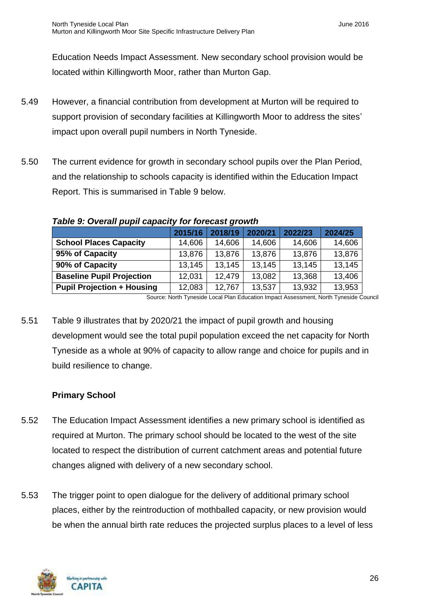Education Needs Impact Assessment. New secondary school provision would be located within Killingworth Moor, rather than Murton Gap.

- 5.49 However, a financial contribution from development at Murton will be required to support provision of secondary facilities at Killingworth Moor to address the sites' impact upon overall pupil numbers in North Tyneside.
- 5.50 The current evidence for growth in secondary school pupils over the Plan Period, and the relationship to schools capacity is identified within the Education Impact Report. This is summarised in Table 9 below.

|                                   | 2015/16 | 2018/19 | 2020/21 | 2022/23 | 2024/25 |
|-----------------------------------|---------|---------|---------|---------|---------|
| <b>School Places Capacity</b>     | 14,606  | 14,606  | 14,606  | 14,606  | 14,606  |
| 95% of Capacity                   | 13,876  | 13,876  | 13,876  | 13,876  | 13,876  |
| 90% of Capacity                   | 13,145  | 13,145  | 13,145  | 13,145  | 13,145  |
| <b>Baseline Pupil Projection</b>  | 12,031  | 12,479  | 13,082  | 13,368  | 13,406  |
| <b>Pupil Projection + Housing</b> | 12,083  | 12,767  | 13,537  | 13,932  | 13,953  |

*Table 9: Overall pupil capacity for forecast growth*

Source: North Tyneside Local Plan Education Impact Assessment, North Tyneside Council

5.51 Table 9 illustrates that by 2020/21 the impact of pupil growth and housing development would see the total pupil population exceed the net capacity for North Tyneside as a whole at 90% of capacity to allow range and choice for pupils and in build resilience to change.

#### **Primary School**

- 5.52 The Education Impact Assessment identifies a new primary school is identified as required at Murton. The primary school should be located to the west of the site located to respect the distribution of current catchment areas and potential future changes aligned with delivery of a new secondary school.
- 5.53 The trigger point to open dialogue for the delivery of additional primary school places, either by the reintroduction of mothballed capacity, or new provision would be when the annual birth rate reduces the projected surplus places to a level of less

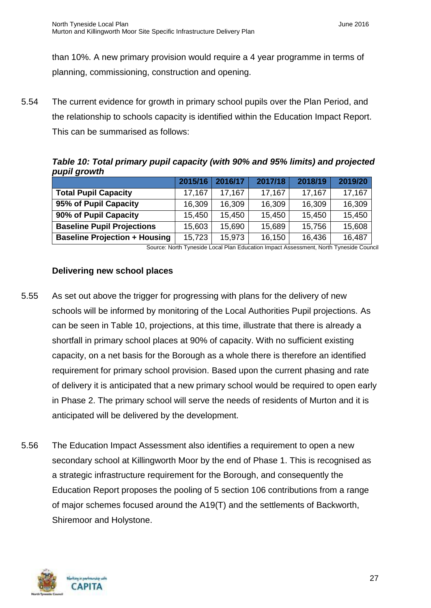than 10%. A new primary provision would require a 4 year programme in terms of planning, commissioning, construction and opening.

5.54 The current evidence for growth in primary school pupils over the Plan Period, and the relationship to schools capacity is identified within the Education Impact Report. This can be summarised as follows:

*Table 10: Total primary pupil capacity (with 90% and 95% limits) and projected pupil growth*

|                                      | 2015/16 | 2016/17 | 2017/18 | 2018/19 | 2019/20 |
|--------------------------------------|---------|---------|---------|---------|---------|
| <b>Total Pupil Capacity</b>          | 17.167  | 17,167  | 17,167  | 17,167  | 17,167  |
| 95% of Pupil Capacity                | 16,309  | 16,309  | 16,309  | 16,309  | 16,309  |
| 90% of Pupil Capacity                | 15,450  | 15,450  | 15,450  | 15,450  | 15,450  |
| <b>Baseline Pupil Projections</b>    | 15,603  | 15,690  | 15,689  | 15,756  | 15,608  |
| <b>Baseline Projection + Housing</b> | 15,723  | 15,973  | 16,150  | 16,436  | 16,487  |

Source: North Tyneside Local Plan Education Impact Assessment, North Tyneside Council

#### **Delivering new school places**

- 5.55 As set out above the trigger for progressing with plans for the delivery of new schools will be informed by monitoring of the Local Authorities Pupil projections. As can be seen in Table 10, projections, at this time, illustrate that there is already a shortfall in primary school places at 90% of capacity. With no sufficient existing capacity, on a net basis for the Borough as a whole there is therefore an identified requirement for primary school provision. Based upon the current phasing and rate of delivery it is anticipated that a new primary school would be required to open early in Phase 2. The primary school will serve the needs of residents of Murton and it is anticipated will be delivered by the development.
- 5.56 The Education Impact Assessment also identifies a requirement to open a new secondary school at Killingworth Moor by the end of Phase 1. This is recognised as a strategic infrastructure requirement for the Borough, and consequently the Education Report proposes the pooling of 5 section 106 contributions from a range of major schemes focused around the A19(T) and the settlements of Backworth, Shiremoor and Holystone.

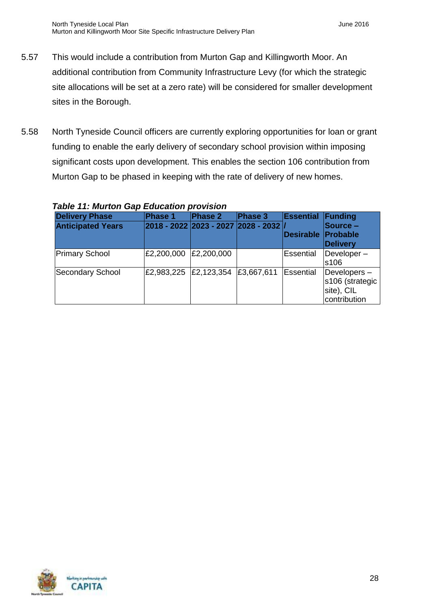- 5.57 This would include a contribution from Murton Gap and Killingworth Moor. An additional contribution from Community Infrastructure Levy (for which the strategic site allocations will be set at a zero rate) will be considered for smaller development sites in the Borough.
- 5.58 North Tyneside Council officers are currently exploring opportunities for loan or grant funding to enable the early delivery of secondary school provision within imposing significant costs upon development. This enables the section 106 contribution from Murton Gap to be phased in keeping with the rate of delivery of new homes.

| , GM, Philippin and Martin Millippin (1919) |                       |                                          |            |                           |                                                                 |  |
|---------------------------------------------|-----------------------|------------------------------------------|------------|---------------------------|-----------------------------------------------------------------|--|
| <b>Delivery Phase</b>                       | <b>Phase 1</b>        | Phase 2                                  | Phase 3    | <b>Essential Funding</b>  |                                                                 |  |
| <b>Anticipated Years</b>                    |                       | 2018 - 2022  2023 - 2027  2028 - 2032  / |            | <b>Desirable Probable</b> | <b>Source –</b><br><b>Delivery</b>                              |  |
| <b>Primary School</b>                       | £2,200,000            | £2,200,000                               |            | Essential                 | $Developer -$<br>s106                                           |  |
| Secondary School                            | £2,983,225 £2,123,354 |                                          | £3,667,611 | Essential                 | $Developers -$<br>s106 (strategic<br>site), CIL<br>contribution |  |

#### *Table 11: Murton Gap Education provision*

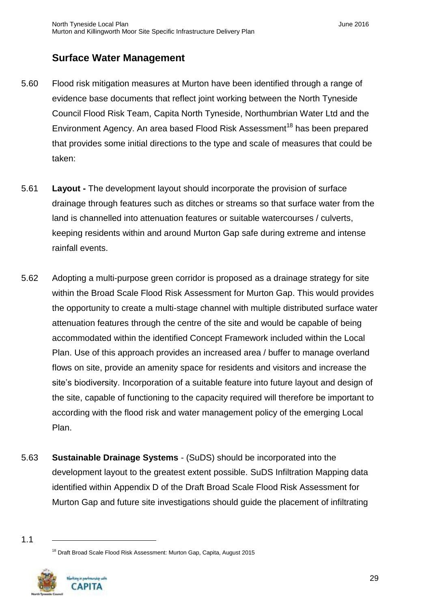## <span id="page-30-0"></span>**Surface Water Management**

- 5.60 Flood risk mitigation measures at Murton have been identified through a range of evidence base documents that reflect joint working between the North Tyneside Council Flood Risk Team, Capita North Tyneside, Northumbrian Water Ltd and the Environment Agency. An area based Flood Risk Assessment<sup>18</sup> has been prepared that provides some initial directions to the type and scale of measures that could be taken:
- 5.61 **Layout -** The development layout should incorporate the provision of surface drainage through features such as ditches or streams so that surface water from the land is channelled into attenuation features or suitable watercourses / culverts, keeping residents within and around Murton Gap safe during extreme and intense rainfall events.
- 5.62 Adopting a multi-purpose green corridor is proposed as a drainage strategy for site within the Broad Scale Flood Risk Assessment for Murton Gap. This would provides the opportunity to create a multi-stage channel with multiple distributed surface water attenuation features through the centre of the site and would be capable of being accommodated within the identified Concept Framework included within the Local Plan. Use of this approach provides an increased area / buffer to manage overland flows on site, provide an amenity space for residents and visitors and increase the site's biodiversity. Incorporation of a suitable feature into future layout and design of the site, capable of functioning to the capacity required will therefore be important to according with the flood risk and water management policy of the emerging Local Plan.
- 5.63 **Sustainable Drainage Systems** (SuDS) should be incorporated into the development layout to the greatest extent possible. SuDS Infiltration Mapping data identified within Appendix D of the Draft Broad Scale Flood Risk Assessment for Murton Gap and future site investigations should guide the placement of infiltrating

<sup>&</sup>lt;sup>18</sup> Draft Broad Scale Flood Risk Assessment: Murton Gap, Capita, August 2015



<sup>1.1</sup>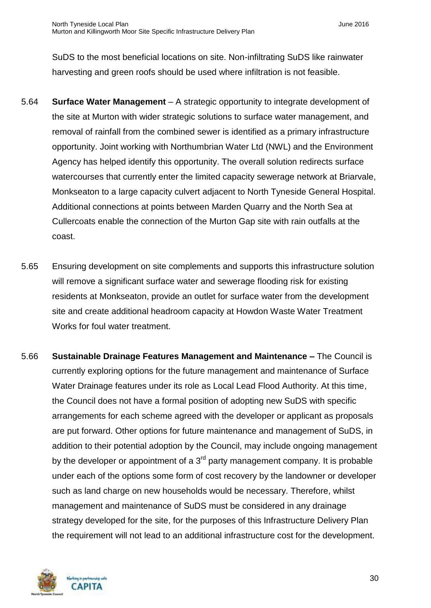SuDS to the most beneficial locations on site. Non-infiltrating SuDS like rainwater harvesting and green roofs should be used where infiltration is not feasible.

- 5.64 **Surface Water Management** A strategic opportunity to integrate development of the site at Murton with wider strategic solutions to surface water management, and removal of rainfall from the combined sewer is identified as a primary infrastructure opportunity. Joint working with Northumbrian Water Ltd (NWL) and the Environment Agency has helped identify this opportunity. The overall solution redirects surface watercourses that currently enter the limited capacity sewerage network at Briarvale, Monkseaton to a large capacity culvert adjacent to North Tyneside General Hospital. Additional connections at points between Marden Quarry and the North Sea at Cullercoats enable the connection of the Murton Gap site with rain outfalls at the coast.
- 5.65 Ensuring development on site complements and supports this infrastructure solution will remove a significant surface water and sewerage flooding risk for existing residents at Monkseaton, provide an outlet for surface water from the development site and create additional headroom capacity at Howdon Waste Water Treatment Works for foul water treatment.
- 5.66 **Sustainable Drainage Features Management and Maintenance –** The Council is currently exploring options for the future management and maintenance of Surface Water Drainage features under its role as Local Lead Flood Authority. At this time, the Council does not have a formal position of adopting new SuDS with specific arrangements for each scheme agreed with the developer or applicant as proposals are put forward. Other options for future maintenance and management of SuDS, in addition to their potential adoption by the Council, may include ongoing management by the developer or appointment of a  $3<sup>rd</sup>$  party management company. It is probable under each of the options some form of cost recovery by the landowner or developer such as land charge on new households would be necessary. Therefore, whilst management and maintenance of SuDS must be considered in any drainage strategy developed for the site, for the purposes of this Infrastructure Delivery Plan the requirement will not lead to an additional infrastructure cost for the development.

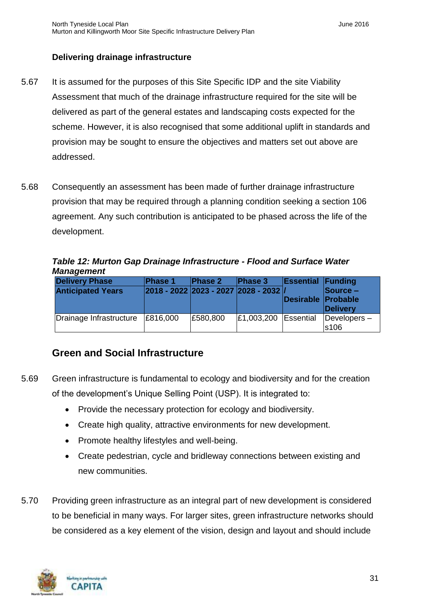#### **Delivering drainage infrastructure**

- 5.67 It is assumed for the purposes of this Site Specific IDP and the site Viability Assessment that much of the drainage infrastructure required for the site will be delivered as part of the general estates and landscaping costs expected for the scheme. However, it is also recognised that some additional uplift in standards and provision may be sought to ensure the objectives and matters set out above are addressed.
- 5.68 Consequently an assessment has been made of further drainage infrastructure provision that may be required through a planning condition seeking a section 106 agreement. Any such contribution is anticipated to be phased across the life of the development.

*Table 12: Murton Gap Drainage Infrastructure - Flood and Surface Water Management*

| <b>Delivery Phase</b><br><b>Anticipated Years</b> | <b>Phase 1</b> | <b>Phase 2</b> | Phase 3<br>2018 - 2022 2023 - 2027 2028 - 2032 / | <b>Essential Funding</b><br><b>Desirable Probable</b> | Source -<br>Delivery            |
|---------------------------------------------------|----------------|----------------|--------------------------------------------------|-------------------------------------------------------|---------------------------------|
| Drainage Infrastructure                           | E816,000       | £580,800       | £1,003,200                                       | Essential                                             | Developers-<br>s <sub>106</sub> |

# <span id="page-32-0"></span>**Green and Social Infrastructure**

- 5.69 Green infrastructure is fundamental to ecology and biodiversity and for the creation of the development's Unique Selling Point (USP). It is integrated to:
	- Provide the necessary protection for ecology and biodiversity.
	- Create high quality, attractive environments for new development.
	- Promote healthy lifestyles and well-being.
	- Create pedestrian, cycle and bridleway connections between existing and new communities.
- 5.70 Providing green infrastructure as an integral part of new development is considered to be beneficial in many ways. For larger sites, green infrastructure networks should be considered as a key element of the vision, design and layout and should include

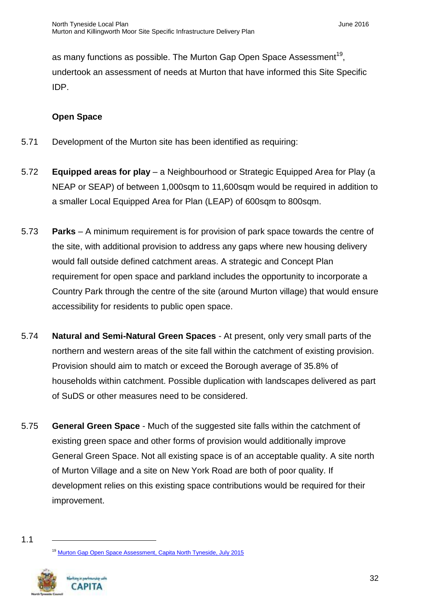as many functions as possible. The Murton Gap Open Space Assessment<sup>19</sup>, undertook an assessment of needs at Murton that have informed this Site Specific IDP.

#### **Open Space**

- 5.71 Development of the Murton site has been identified as requiring:
- 5.72 **Equipped areas for play** a Neighbourhood or Strategic Equipped Area for Play (a NEAP or SEAP) of between 1,000sqm to 11,600sqm would be required in addition to a smaller Local Equipped Area for Plan (LEAP) of 600sqm to 800sqm.
- 5.73 **Parks** A minimum requirement is for provision of park space towards the centre of the site, with additional provision to address any gaps where new housing delivery would fall outside defined catchment areas. A strategic and Concept Plan requirement for open space and parkland includes the opportunity to incorporate a Country Park through the centre of the site (around Murton village) that would ensure accessibility for residents to public open space.
- 5.74 **Natural and Semi-Natural Green Spaces** At present, only very small parts of the northern and western areas of the site fall within the catchment of existing provision. Provision should aim to match or exceed the Borough average of 35.8% of households within catchment. Possible duplication with landscapes delivered as part of SuDS or other measures need to be considered.
- 5.75 **General Green Space** Much of the suggested site falls within the catchment of existing green space and other forms of provision would additionally improve General Green Space. Not all existing space is of an acceptable quality. A site north of Murton Village and a site on New York Road are both of poor quality. If development relies on this existing space contributions would be required for their improvement.

<sup>&</sup>lt;sup>19</sup> [Murton Gap Open Space Assessment, Capita North Tyneside, July 2015](http://www.northtyneside.gov.uk/pls/portal/NTC_PSCM.PSCM_Web.download?p_ID=562459)



<sup>1.1</sup>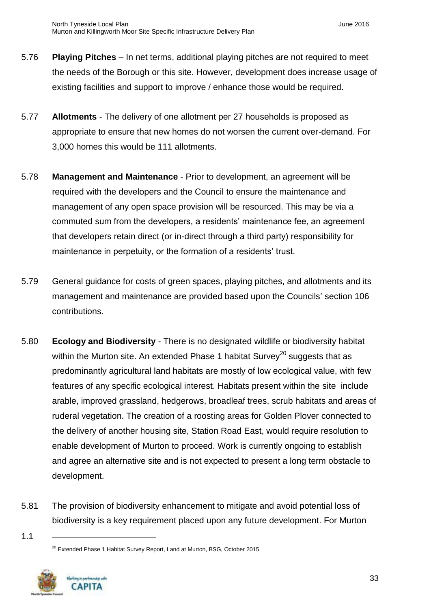- 5.76 **Playing Pitches** In net terms, additional playing pitches are not required to meet the needs of the Borough or this site. However, development does increase usage of existing facilities and support to improve / enhance those would be required.
- 5.77 **Allotments** The delivery of one allotment per 27 households is proposed as appropriate to ensure that new homes do not worsen the current over-demand. For 3,000 homes this would be 111 allotments.
- 5.78 **Management and Maintenance** Prior to development, an agreement will be required with the developers and the Council to ensure the maintenance and management of any open space provision will be resourced. This may be via a commuted sum from the developers, a residents' maintenance fee, an agreement that developers retain direct (or in-direct through a third party) responsibility for maintenance in perpetuity, or the formation of a residents' trust.
- 5.79 General guidance for costs of green spaces, playing pitches, and allotments and its management and maintenance are provided based upon the Councils' section 106 contributions.
- 5.80 **Ecology and Biodiversity** There is no designated wildlife or biodiversity habitat within the Murton site. An extended Phase 1 habitat Survey<sup>20</sup> suggests that as predominantly agricultural land habitats are mostly of low ecological value, with few features of any specific ecological interest. Habitats present within the site include arable, improved grassland, hedgerows, broadleaf trees, scrub habitats and areas of ruderal vegetation. The creation of a roosting areas for Golden Plover connected to the delivery of another housing site, Station Road East, would require resolution to enable development of Murton to proceed. Work is currently ongoing to establish and agree an alternative site and is not expected to present a long term obstacle to development.
- 5.81 The provision of biodiversity enhancement to mitigate and avoid potential loss of biodiversity is a key requirement placed upon any future development. For Murton

1.1

<sup>&</sup>lt;sup>20</sup> Extended Phase 1 Habitat Survey Report, Land at Murton, BSG, October 2015

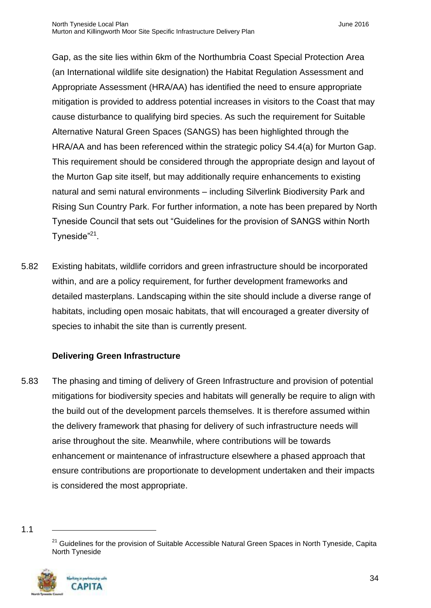Gap, as the site lies within 6km of the Northumbria Coast Special Protection Area (an International wildlife site designation) the Habitat Regulation Assessment and Appropriate Assessment (HRA/AA) has identified the need to ensure appropriate mitigation is provided to address potential increases in visitors to the Coast that may cause disturbance to qualifying bird species. As such the requirement for Suitable Alternative Natural Green Spaces (SANGS) has been highlighted through the HRA/AA and has been referenced within the strategic policy S4.4(a) for Murton Gap. This requirement should be considered through the appropriate design and layout of the Murton Gap site itself, but may additionally require enhancements to existing natural and semi natural environments – including Silverlink Biodiversity Park and Rising Sun Country Park. For further information, a note has been prepared by North Tyneside Council that sets out "Guidelines for the provision of SANGS within North Tyneside"<sup>21</sup>.

5.82 Existing habitats, wildlife corridors and green infrastructure should be incorporated within, and are a policy requirement, for further development frameworks and detailed masterplans. Landscaping within the site should include a diverse range of habitats, including open mosaic habitats, that will encouraged a greater diversity of species to inhabit the site than is currently present.

#### **Delivering Green Infrastructure**

- 5.83 The phasing and timing of delivery of Green Infrastructure and provision of potential mitigations for biodiversity species and habitats will generally be require to align with the build out of the development parcels themselves. It is therefore assumed within the delivery framework that phasing for delivery of such infrastructure needs will arise throughout the site. Meanwhile, where contributions will be towards enhancement or maintenance of infrastructure elsewhere a phased approach that ensure contributions are proportionate to development undertaken and their impacts is considered the most appropriate.
- 1.1

<sup>&</sup>lt;sup>21</sup> Guidelines for the provision of Suitable Accessible Natural Green Spaces in North Tyneside, Capita North Tyneside

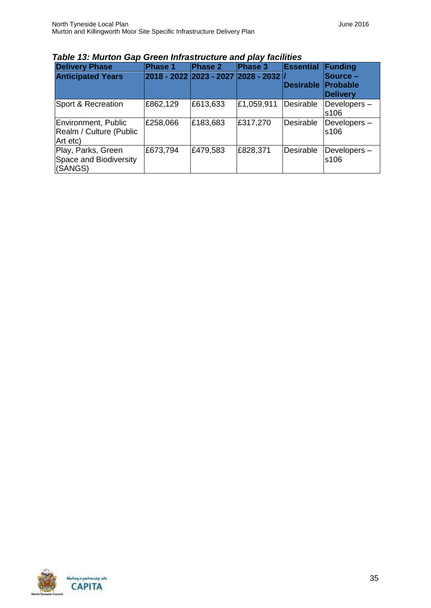| <b>Delivery Phase</b>                                      | Phase 1                             | <b>Phase 2</b> | Phase 3    | <b>Essential</b> | Funding                     |
|------------------------------------------------------------|-------------------------------------|----------------|------------|------------------|-----------------------------|
| <b>Anticipated Years</b>                                   | 2018 - 2022 2023 - 2027 2028 - 2032 |                |            |                  | <b>Source -</b>             |
|                                                            |                                     |                |            | <b>Desirable</b> | <b>Probable</b><br>Delivery |
| Sport & Recreation                                         | £862,129                            | £613,633       | £1,059,911 | Desirable        | Developers-<br>s106         |
| Environment, Public<br>Realm / Culture (Public<br>Art etc) | £258,066                            | £183,683       | £317,270   | Desirable        | Developers-<br>s106         |
| Play, Parks, Green<br>Space and Biodiversity<br>(SANGS)    | £673,794                            | £479,583       | £828,371   | Desirable        | Developers-<br>s106         |

#### *Table 13: Murton Gap Green Infrastructure and play facilities*

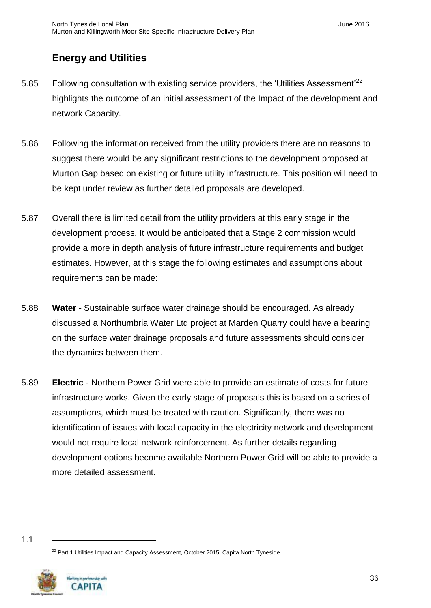# <span id="page-37-0"></span>**Energy and Utilities**

- 5.85 Following consultation with existing service providers, the 'Utilities Assessment'<sup>22</sup> highlights the outcome of an initial assessment of the Impact of the development and network Capacity.
- 5.86 Following the information received from the utility providers there are no reasons to suggest there would be any significant restrictions to the development proposed at Murton Gap based on existing or future utility infrastructure. This position will need to be kept under review as further detailed proposals are developed.
- 5.87 Overall there is limited detail from the utility providers at this early stage in the development process. It would be anticipated that a Stage 2 commission would provide a more in depth analysis of future infrastructure requirements and budget estimates. However, at this stage the following estimates and assumptions about requirements can be made:
- 5.88 **Water**  Sustainable surface water drainage should be encouraged. As already discussed a Northumbria Water Ltd project at Marden Quarry could have a bearing on the surface water drainage proposals and future assessments should consider the dynamics between them.
- 5.89 **Electric**  Northern Power Grid were able to provide an estimate of costs for future infrastructure works. Given the early stage of proposals this is based on a series of assumptions, which must be treated with caution. Significantly, there was no identification of issues with local capacity in the electricity network and development would not require local network reinforcement. As further details regarding development options become available Northern Power Grid will be able to provide a more detailed assessment.

 $22$  Part 1 Utilities Impact and Capacity Assessment, October 2015, Capita North Tyneside.



<sup>1.1</sup>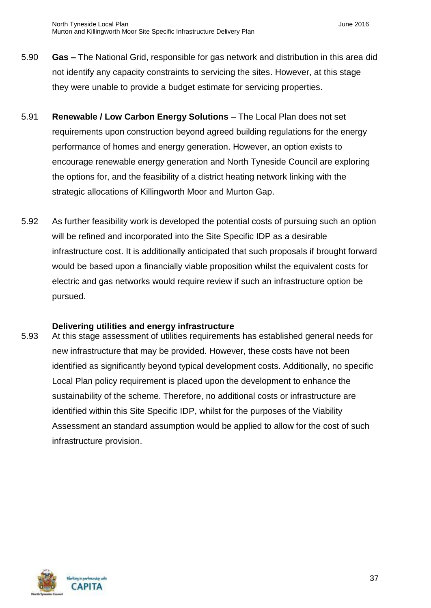- 5.90 **Gas –** The National Grid, responsible for gas network and distribution in this area did not identify any capacity constraints to servicing the sites. However, at this stage they were unable to provide a budget estimate for servicing properties.
- 5.91 **Renewable / Low Carbon Energy Solutions** The Local Plan does not set requirements upon construction beyond agreed building regulations for the energy performance of homes and energy generation. However, an option exists to encourage renewable energy generation and North Tyneside Council are exploring the options for, and the feasibility of a district heating network linking with the strategic allocations of Killingworth Moor and Murton Gap.
- 5.92 As further feasibility work is developed the potential costs of pursuing such an option will be refined and incorporated into the Site Specific IDP as a desirable infrastructure cost. It is additionally anticipated that such proposals if brought forward would be based upon a financially viable proposition whilst the equivalent costs for electric and gas networks would require review if such an infrastructure option be pursued.

#### **Delivering utilities and energy infrastructure**

5.93 At this stage assessment of utilities requirements has established general needs for new infrastructure that may be provided. However, these costs have not been identified as significantly beyond typical development costs. Additionally, no specific Local Plan policy requirement is placed upon the development to enhance the sustainability of the scheme. Therefore, no additional costs or infrastructure are identified within this Site Specific IDP, whilst for the purposes of the Viability Assessment an standard assumption would be applied to allow for the cost of such infrastructure provision.

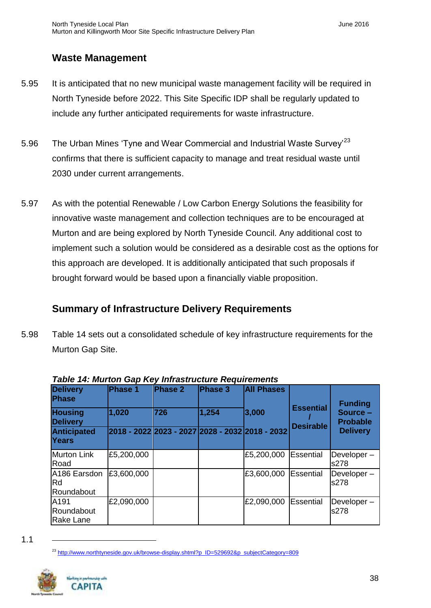## <span id="page-39-0"></span>**Waste Management**

- 5.95 It is anticipated that no new municipal waste management facility will be required in North Tyneside before 2022. This Site Specific IDP shall be regularly updated to include any further anticipated requirements for waste infrastructure.
- 5.96 The Urban Mines 'Tyne and Wear Commercial and Industrial Waste Survey'<sup>23</sup> confirms that there is sufficient capacity to manage and treat residual waste until 2030 under current arrangements.
- 5.97 As with the potential Renewable / Low Carbon Energy Solutions the feasibility for innovative waste management and collection techniques are to be encouraged at Murton and are being explored by North Tyneside Council. Any additional cost to implement such a solution would be considered as a desirable cost as the options for this approach are developed. It is additionally anticipated that such proposals if brought forward would be based upon a financially viable proposition.

# <span id="page-39-1"></span>**Summary of Infrastructure Delivery Requirements**

5.98 Table 14 sets out a consolidated schedule of key infrastructure requirements for the Murton Gap Site.

| <b>Delivery</b><br><b>Phase</b>    | <b>Phase 1</b> | Phase 2                                         | <b>Phase 3</b> | <b>All Phases</b> |                  | <b>Funding</b>              |
|------------------------------------|----------------|-------------------------------------------------|----------------|-------------------|------------------|-----------------------------|
| <b>Housing</b><br><b>Delivery</b>  | 1,020          | 1726                                            | 1,254          | 3,000             | <b>Essential</b> | Source -<br><b>Probable</b> |
| <b>Anticipated</b><br><b>Years</b> |                | 2018 - 2022 2023 - 2027 2028 - 2032 2018 - 2032 |                |                   | <b>Desirable</b> | <b>Delivery</b>             |
| <b>Murton Link</b><br>Road         | £5,200,000     |                                                 |                | £5,200,000        | Essential        | Developer-<br>s278          |
| A186 Earsdon<br>Rd<br>Roundabout   | £3,600,000     |                                                 |                | £3,600,000        | Essential        | Developer-<br>s278          |
| A191<br>Roundabout<br>Rake Lane    | £2,090,000     |                                                 |                | £2,090,000        | Essential        | Developer-<br>s278          |

| Table 14: Murton Gap Key Infrastructure Requirements |  |  |
|------------------------------------------------------|--|--|
|------------------------------------------------------|--|--|

<sup>&</sup>lt;sup>23</sup> [http://www.northtyneside.gov.uk/browse-display.shtml?p\\_ID=529692&p\\_subjectCategory=809](http://www.northtyneside.gov.uk/browse-display.shtml?p_ID=529692&p_subjectCategory=809)



<sup>1.1</sup>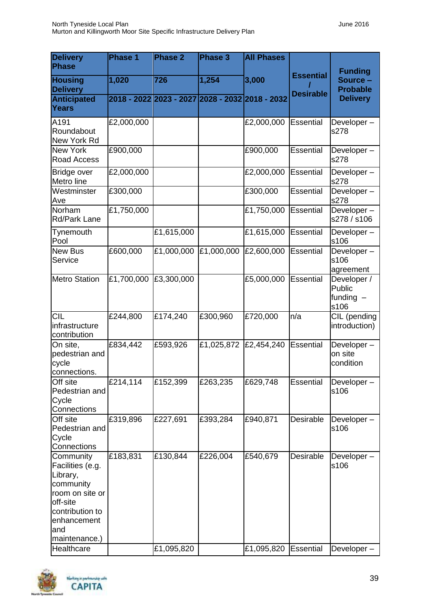| <b>Delivery</b><br><b>Phase</b>                                                                                                                               | <b>Phase 1</b> | <b>Phase 2</b>                                  | Phase 3    | <b>All Phases</b>      |                        |                                              |
|---------------------------------------------------------------------------------------------------------------------------------------------------------------|----------------|-------------------------------------------------|------------|------------------------|------------------------|----------------------------------------------|
| <b>Housing</b><br><b>Delivery</b>                                                                                                                             | 1,020          | 726                                             | 1,254      | 3,000                  | <b>Essential</b>       | <b>Funding</b><br>Source-<br><b>Probable</b> |
| <b>Anticipated</b><br>Years                                                                                                                                   |                | 2018 - 2022 2023 - 2027 2028 - 2032 2018 - 2032 |            |                        | <b>Desirable</b>       | <b>Delivery</b>                              |
| A191<br>Roundabout<br>New York Rd                                                                                                                             | £2,000,000     |                                                 |            | £2,000,000             | Essential              | Developer-<br>s278                           |
| <b>New York</b><br>Road Access                                                                                                                                | £900,000       |                                                 |            | £900,000               | <b>Essential</b>       | Developer-<br>s278                           |
| Bridge over<br>Metro line                                                                                                                                     | £2,000,000     |                                                 |            | £2,000,000             | Essential              | Developer-<br>s278                           |
| Westminster<br>Ave                                                                                                                                            | £300,000       |                                                 |            | £300,000               | Essential              | Developer-<br>s278                           |
| Norham<br><b>Rd/Park Lane</b>                                                                                                                                 | £1,750,000     |                                                 |            | £1,750,000             | Essential              | Developer-<br>s278 / s106                    |
| Tynemouth<br>Pool                                                                                                                                             |                | £1,615,000                                      |            | £1,615,000             | Essential              | Developer-<br>s106                           |
| <b>New Bus</b><br>Service                                                                                                                                     | £600,000       | £1,000,000                                      | £1,000,000 | £2,600,000             | Essential              | Developer-<br>s106<br>agreement              |
| <b>Metro Station</b>                                                                                                                                          | £1,700,000     | £3,300,000                                      |            | £5,000,000             | Essential              | Developer /<br>Public<br>funding $-$<br>s106 |
| <b>CIL</b><br>infrastructure<br>contribution                                                                                                                  | £244,800       | £174,240                                        | £300,960   | £720,000               | n/a                    | CIL (pending<br>introduction)                |
| On site,<br>pedestrian and<br>cycle<br>connections.                                                                                                           | £834,442       | £593,926                                        | £1,025,872 | £2,454,240             | Essential              | Developer-<br>on site<br>condition           |
| Off site<br>Pedestrian and<br>Cycle<br>Connections                                                                                                            | £214,114       | £152,399                                        | £263,235   | £629,748               | Essential              | Developer-<br>s106                           |
| Off site<br>Pedestrian and<br>Cycle<br>Connections                                                                                                            | £319,896       | £227,691                                        | £393,284   | £940,871               | Desirable              | Developer-<br>s106                           |
| Community<br>Facilities (e.g.<br>Library,<br>community<br>room on site or<br>off-site<br>contribution to<br>enhancement<br>and<br>maintenance.)<br>Healthcare | £183,831       | £130,844<br>£1,095,820                          | £226,004   | £540,679<br>£1,095,820 | Desirable<br>Essential | Developer-<br>s106                           |
|                                                                                                                                                               |                |                                                 |            |                        |                        | Developer-                                   |

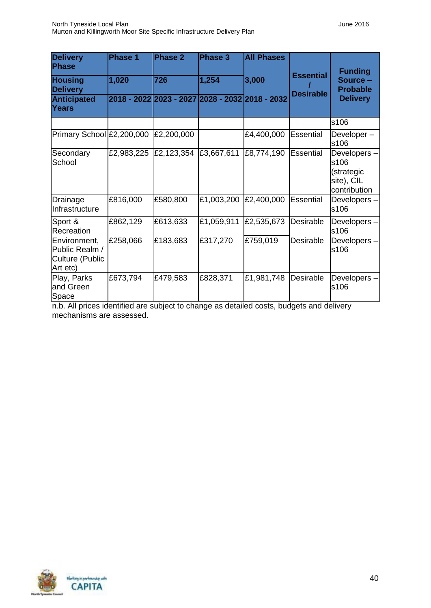| <b>Delivery</b><br>Phase                                      | Phase 1    | <b>Phase 2</b>                                  | <b>Phase 3</b> | <b>All Phases</b> |                  | <b>Funding</b>                                                  |
|---------------------------------------------------------------|------------|-------------------------------------------------|----------------|-------------------|------------------|-----------------------------------------------------------------|
| <b>Housing</b><br><b>Delivery</b>                             | 1,020      | 726                                             | 1,254          | 3,000             | <b>Essential</b> | Source -<br><b>Probable</b>                                     |
| <b>Anticipated</b><br><b>Years</b>                            |            | 2018 - 2022 2023 - 2027 2028 - 2032 2018 - 2032 |                |                   | <b>Desirable</b> | <b>Delivery</b>                                                 |
|                                                               |            |                                                 |                |                   |                  | s106                                                            |
| Primary School £2,200,000                                     |            | £2,200,000                                      |                | £4,400,000        | <b>Essential</b> | Developer-<br>s106                                              |
| Secondary<br>School                                           | £2,983,225 | £2,123,354                                      | £3,667,611     | £8,774,190        | Essential        | Developers-<br>s106<br>(strategic<br>site), CIL<br>contribution |
| Drainage<br>Infrastructure                                    | £816,000   | £580,800                                        | £1,003,200     | £2,400,000        | <b>Essential</b> | Developers-<br>s106                                             |
| Sport &<br>Recreation                                         | £862,129   | £613,633                                        | £1,059,911     | £2,535,673        | Desirable        | Developers-<br>s106                                             |
| Environment,<br>Public Realm /<br>Culture (Public<br>Art etc) | £258,066   | £183,683                                        | £317,270       | £759,019          | Desirable        | Developers-<br>s106                                             |
| Play, Parks<br>and Green<br>Space                             | £673,794   | £479,583                                        | £828,371       | £1,981,748        | Desirable        | Developers-<br>s106                                             |

n.b. All prices identified are subject to change as detailed costs, budgets and delivery mechanisms are assessed.

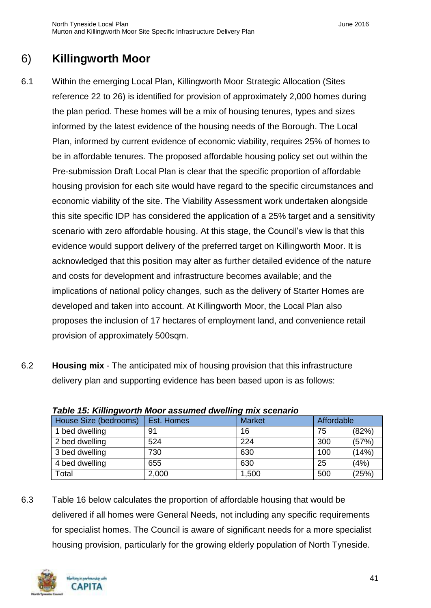# <span id="page-42-0"></span>6) **Killingworth Moor**

- 6.1 Within the emerging Local Plan, Killingworth Moor Strategic Allocation (Sites reference 22 to 26) is identified for provision of approximately 2,000 homes during the plan period. These homes will be a mix of housing tenures, types and sizes informed by the latest evidence of the housing needs of the Borough. The Local Plan, informed by current evidence of economic viability, requires 25% of homes to be in affordable tenures. The proposed affordable housing policy set out within the Pre-submission Draft Local Plan is clear that the specific proportion of affordable housing provision for each site would have regard to the specific circumstances and economic viability of the site. The Viability Assessment work undertaken alongside this site specific IDP has considered the application of a 25% target and a sensitivity scenario with zero affordable housing. At this stage, the Council's view is that this evidence would support delivery of the preferred target on Killingworth Moor. It is acknowledged that this position may alter as further detailed evidence of the nature and costs for development and infrastructure becomes available; and the implications of national policy changes, such as the delivery of Starter Homes are developed and taken into account. At Killingworth Moor, the Local Plan also proposes the inclusion of 17 hectares of employment land, and convenience retail provision of approximately 500sqm.
- 6.2 **Housing mix** The anticipated mix of housing provision that this infrastructure delivery plan and supporting evidence has been based upon is as follows:

| $1805$ TV. Nillingworth Moor assumed uwening this scenario |            |               |            |       |  |  |
|------------------------------------------------------------|------------|---------------|------------|-------|--|--|
| House Size (bedrooms)                                      | Est. Homes | <b>Market</b> | Affordable |       |  |  |
| 1 bed dwelling                                             | 91         | 16            | 75         | (82%) |  |  |
| 2 bed dwelling                                             | 524        | 224           | 300        | (57%) |  |  |
| 3 bed dwelling                                             | 730        | 630           | 100        | (14%) |  |  |
| 4 bed dwelling                                             | 655        | 630           | 25         | (4%)  |  |  |
| Total                                                      | 2,000      | 1,500         | 500        | (25%) |  |  |

| Table 15: Killingworth Moor assumed dwelling mix scenario |
|-----------------------------------------------------------|
|-----------------------------------------------------------|

6.3 Table 16 below calculates the proportion of affordable housing that would be delivered if all homes were General Needs, not including any specific requirements for specialist homes. The Council is aware of significant needs for a more specialist housing provision, particularly for the growing elderly population of North Tyneside.

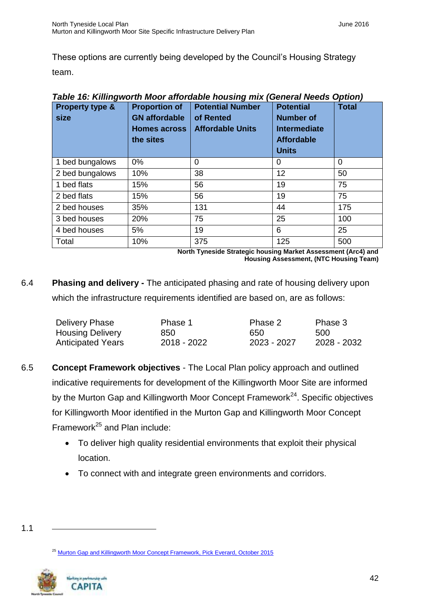These options are currently being developed by the Council's Housing Strategy team.

| <b>Property type &amp;</b><br>size | <b>Proportion of</b><br><b>GN</b> affordable<br><b>Homes across</b><br>the sites | <b>Potential Number</b><br>of Rented<br><b>Affordable Units</b> | <b>Potential</b><br><b>Number of</b><br><b>Intermediate</b><br><b>Affordable</b><br><b>Units</b> | <b>Total</b> |
|------------------------------------|----------------------------------------------------------------------------------|-----------------------------------------------------------------|--------------------------------------------------------------------------------------------------|--------------|
| 1 bed bungalows                    | $0\%$                                                                            | $\Omega$                                                        | 0                                                                                                | $\Omega$     |
| 2 bed bungalows                    | 10%                                                                              | 38                                                              | 12                                                                                               | 50           |
| 1 bed flats                        | 15%                                                                              | 56                                                              | 19                                                                                               | 75           |
| 2 bed flats                        | 15%                                                                              | 56                                                              | 19                                                                                               | 75           |
| 2 bed houses                       | 35%                                                                              | 131                                                             | 44                                                                                               | 175          |
| 3 bed houses                       | 20%                                                                              | 75                                                              | 25                                                                                               | 100          |
| 4 bed houses                       | 5%                                                                               | 19                                                              | 6                                                                                                | 25           |
| Total                              | 10%                                                                              | 375                                                             | 125                                                                                              | 500          |

*Table 16: Killingworth Moor affordable housing mix (General Needs Option)*

**North Tyneside Strategic housing Market Assessment (Arc4) and Housing Assessment, (NTC Housing Team)**

6.4 **Phasing and delivery -** The anticipated phasing and rate of housing delivery upon which the infrastructure requirements identified are based on, are as follows:

| Delivery Phase           | Phase 1     | Phase 2     | Phase 3     |
|--------------------------|-------------|-------------|-------------|
| <b>Housing Delivery</b>  | 850.        | 650         | 500         |
| <b>Anticipated Years</b> | 2018 - 2022 | 2023 - 2027 | 2028 - 2032 |

- 6.5 **Concept Framework objectives**  The Local Plan policy approach and outlined indicative requirements for development of the Killingworth Moor Site are informed by the Murton Gap and Killingworth Moor Concept Framework<sup>24</sup>. Specific objectives for Killingworth Moor identified in the Murton Gap and Killingworth Moor Concept Framework<sup>25</sup> and Plan include:
	- To deliver high quality residential environments that exploit their physical location.
	- To connect with and integrate green environments and corridors.

<sup>25</sup> [Murton Gap and Killingworth Moor Concept Framework, Pick Everard, October 2015](http://www.northtyneside.gov.uk/pls/portal/NTC_PSCM.PSCM_Web.download?p_ID=562648)



<sup>1.1</sup>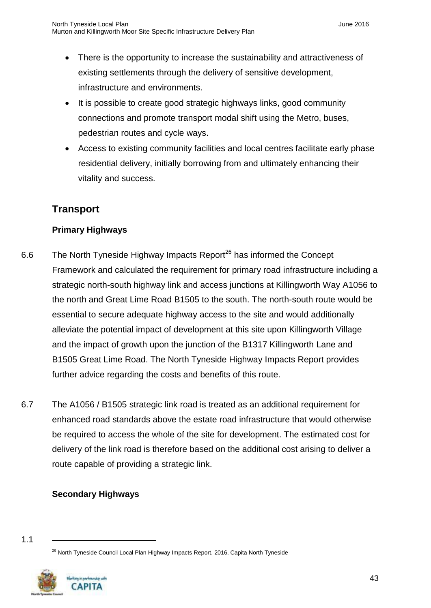- There is the opportunity to increase the sustainability and attractiveness of existing settlements through the delivery of sensitive development, infrastructure and environments.
- It is possible to create good strategic highways links, good community connections and promote transport modal shift using the Metro, buses, pedestrian routes and cycle ways.
- Access to existing community facilities and local centres facilitate early phase residential delivery, initially borrowing from and ultimately enhancing their vitality and success.

## <span id="page-44-0"></span>**Transport**

#### **Primary Highways**

- 6.6 The North Tyneside Highway Impacts Report<sup>26</sup> has informed the Concept Framework and calculated the requirement for primary road infrastructure including a strategic north-south highway link and access junctions at Killingworth Way A1056 to the north and Great Lime Road B1505 to the south. The north-south route would be essential to secure adequate highway access to the site and would additionally alleviate the potential impact of development at this site upon Killingworth Village and the impact of growth upon the junction of the B1317 Killingworth Lane and B1505 Great Lime Road. The North Tyneside Highway Impacts Report provides further advice regarding the costs and benefits of this route.
- 6.7 The A1056 / B1505 strategic link road is treated as an additional requirement for enhanced road standards above the estate road infrastructure that would otherwise be required to access the whole of the site for development. The estimated cost for delivery of the link road is therefore based on the additional cost arising to deliver a route capable of providing a strategic link.

#### **Secondary Highways**



<sup>&</sup>lt;sup>26</sup> North Tyneside Council Local Plan Highway Impacts Report, 2016, Capita North Tyneside

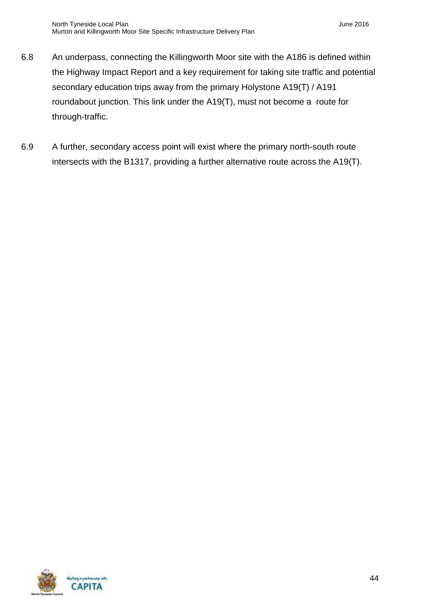- 6.8 An underpass, connecting the Killingworth Moor site with the A186 is defined within the Highway Impact Report and a key requirement for taking site traffic and potential secondary education trips away from the primary Holystone A19(T) / A191 roundabout junction. This link under the A19(T), must not become a route for through-traffic.
- 6.9 A further, secondary access point will exist where the primary north-south route intersects with the B1317, providing a further alternative route across the A19(T).

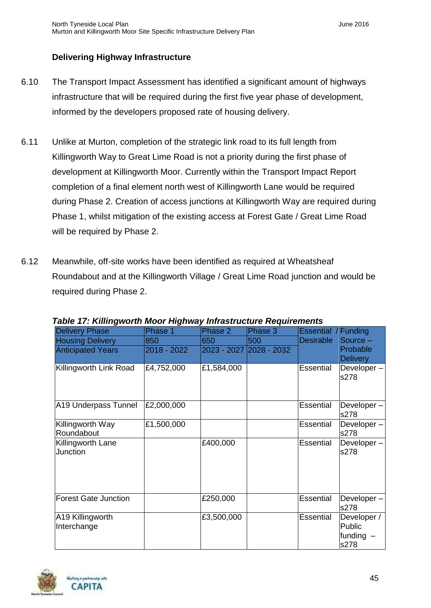#### **Delivering Highway Infrastructure**

- 6.10 The Transport Impact Assessment has identified a significant amount of highways infrastructure that will be required during the first five year phase of development, informed by the developers proposed rate of housing delivery.
- 6.11 Unlike at Murton, completion of the strategic link road to its full length from Killingworth Way to Great Lime Road is not a priority during the first phase of development at Killingworth Moor. Currently within the Transport Impact Report completion of a final element north west of Killingworth Lane would be required during Phase 2. Creation of access junctions at Killingworth Way are required during Phase 1, whilst mitigation of the existing access at Forest Gate / Great Lime Road will be required by Phase 2.
- 6.12 Meanwhile, off-site works have been identified as required at Wheatsheaf Roundabout and at the Killingworth Village / Great Lime Road junction and would be required during Phase 2.

| <b>Delivery Phase</b>       | Phase 1     | Phase 2    | Phase 3                 | Essential / Funding |                 |
|-----------------------------|-------------|------------|-------------------------|---------------------|-----------------|
| <b>Housing Delivery</b>     | 850         | 650        | 500                     | <b>Desirable</b>    | Source $-$      |
| <b>Anticipated Years</b>    | 2018 - 2022 |            | 2023 - 2027 2028 - 2032 |                     | Probable        |
|                             |             |            |                         |                     | <b>Delivery</b> |
| Killingworth Link Road      | £4,752,000  | £1,584,000 |                         | Essential           | Developer-      |
|                             |             |            |                         |                     | s278            |
|                             |             |            |                         |                     |                 |
|                             |             |            |                         |                     |                 |
| A19 Underpass Tunnel        | £2,000,000  |            |                         | Essential           | Developer-      |
|                             |             |            |                         |                     | s278            |
| Killingworth Way            | £1,500,000  |            |                         | Essential           | Developer-      |
| Roundabout                  |             |            |                         |                     | s278            |
| Killingworth Lane           |             | £400,000   |                         | <b>Essential</b>    | Developer-      |
| Junction                    |             |            |                         |                     | s278            |
|                             |             |            |                         |                     |                 |
|                             |             |            |                         |                     |                 |
|                             |             |            |                         |                     |                 |
|                             |             |            |                         |                     |                 |
| <b>Forest Gate Junction</b> |             | £250,000   |                         | Essential           | Developer-      |
|                             |             |            |                         |                     | s278            |
| A19 Killingworth            |             | £3,500,000 |                         | Essential           | Developer /     |
| Interchange                 |             |            |                         |                     | Public          |
|                             |             |            |                         |                     | funding $-$     |
|                             |             |            |                         |                     | s278            |

*Table 17: Killingworth Moor Highway Infrastructure Requirements*

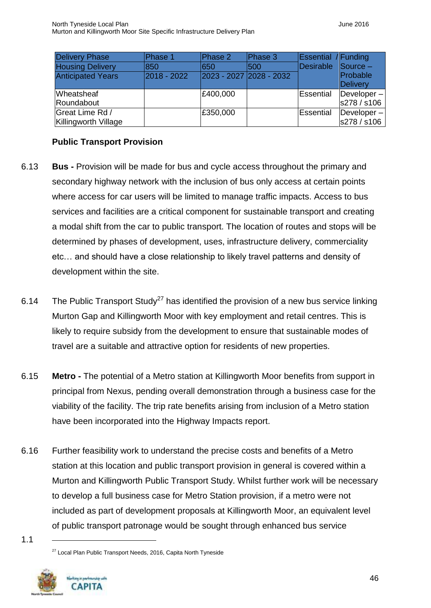| <b>Delivery Phase</b>       | Phase 1     | Phase 2                 | Phase 3 | <b>Essential</b> / Funding |                               |
|-----------------------------|-------------|-------------------------|---------|----------------------------|-------------------------------|
| <b>Housing Delivery</b>     | 850         | 1650                    | 1500    | Desirable                  | $\sqrt{\frac{1}{2}}$ Source – |
| <b>Anticipated Years</b>    | 2018 - 2022 | 2023 - 2027 2028 - 2032 |         |                            | Probable                      |
|                             |             |                         |         |                            | Delivery                      |
| <b>Wheatsheaf</b>           |             | £400,000                |         | Essential                  | $Developer -$                 |
| Roundabout                  |             |                         |         |                            | s278 / s106                   |
| Great Lime Rd /             |             | £350,000                |         | Essential                  | $Developer -$                 |
| <b>Killingworth Village</b> |             |                         |         |                            | s278 / s106                   |

#### **Public Transport Provision**

- 6.13 **Bus -** Provision will be made for bus and cycle access throughout the primary and secondary highway network with the inclusion of bus only access at certain points where access for car users will be limited to manage traffic impacts. Access to bus services and facilities are a critical component for sustainable transport and creating a modal shift from the car to public transport. The location of routes and stops will be determined by phases of development, uses, infrastructure delivery, commerciality etc… and should have a close relationship to likely travel patterns and density of development within the site.
- 6.14 The Public Transport Study<sup>27</sup> has identified the provision of a new bus service linking Murton Gap and Killingworth Moor with key employment and retail centres. This is likely to require subsidy from the development to ensure that sustainable modes of travel are a suitable and attractive option for residents of new properties.
- 6.15 **Metro -** The potential of a Metro station at Killingworth Moor benefits from support in principal from Nexus, pending overall demonstration through a business case for the viability of the facility. The trip rate benefits arising from inclusion of a Metro station have been incorporated into the Highway Impacts report.
- 6.16 Further feasibility work to understand the precise costs and benefits of a Metro station at this location and public transport provision in general is covered within a Murton and Killingworth Public Transport Study. Whilst further work will be necessary to develop a full business case for Metro Station provision, if a metro were not included as part of development proposals at Killingworth Moor, an equivalent level of public transport patronage would be sought through enhanced bus service

<sup>27</sup> Local Plan Public Transport Needs, 2016, Capita North Tyneside

1.1

Norting is partmentip with **CAPITA**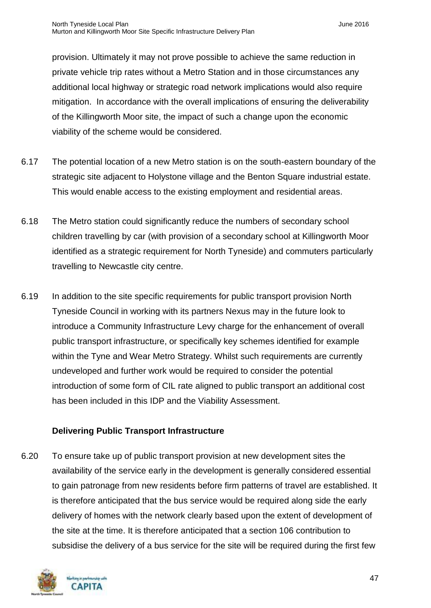provision. Ultimately it may not prove possible to achieve the same reduction in private vehicle trip rates without a Metro Station and in those circumstances any additional local highway or strategic road network implications would also require mitigation. In accordance with the overall implications of ensuring the deliverability of the Killingworth Moor site, the impact of such a change upon the economic viability of the scheme would be considered.

- 6.17 The potential location of a new Metro station is on the south-eastern boundary of the strategic site adjacent to Holystone village and the Benton Square industrial estate. This would enable access to the existing employment and residential areas.
- 6.18 The Metro station could significantly reduce the numbers of secondary school children travelling by car (with provision of a secondary school at Killingworth Moor identified as a strategic requirement for North Tyneside) and commuters particularly travelling to Newcastle city centre.
- 6.19 In addition to the site specific requirements for public transport provision North Tyneside Council in working with its partners Nexus may in the future look to introduce a Community Infrastructure Levy charge for the enhancement of overall public transport infrastructure, or specifically key schemes identified for example within the Tyne and Wear Metro Strategy. Whilst such requirements are currently undeveloped and further work would be required to consider the potential introduction of some form of CIL rate aligned to public transport an additional cost has been included in this IDP and the Viability Assessment.

#### **Delivering Public Transport Infrastructure**

6.20 To ensure take up of public transport provision at new development sites the availability of the service early in the development is generally considered essential to gain patronage from new residents before firm patterns of travel are established. It is therefore anticipated that the bus service would be required along side the early delivery of homes with the network clearly based upon the extent of development of the site at the time. It is therefore anticipated that a section 106 contribution to subsidise the delivery of a bus service for the site will be required during the first few

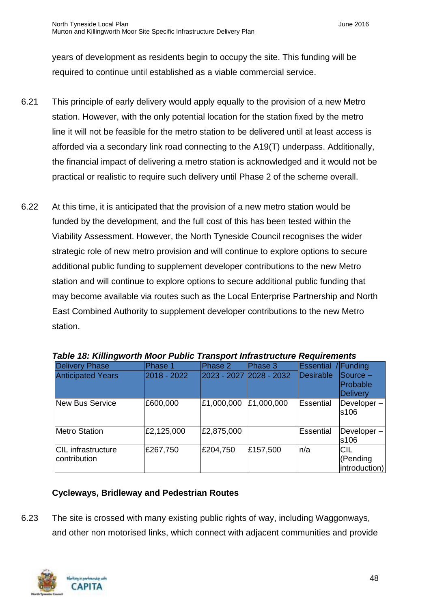years of development as residents begin to occupy the site. This funding will be required to continue until established as a viable commercial service.

- 6.21 This principle of early delivery would apply equally to the provision of a new Metro station. However, with the only potential location for the station fixed by the metro line it will not be feasible for the metro station to be delivered until at least access is afforded via a secondary link road connecting to the A19(T) underpass. Additionally, the financial impact of delivering a metro station is acknowledged and it would not be practical or realistic to require such delivery until Phase 2 of the scheme overall.
- 6.22 At this time, it is anticipated that the provision of a new metro station would be funded by the development, and the full cost of this has been tested within the Viability Assessment. However, the North Tyneside Council recognises the wider strategic role of new metro provision and will continue to explore options to secure additional public funding to supplement developer contributions to the new Metro station and will continue to explore options to secure additional public funding that may become available via routes such as the Local Enterprise Partnership and North East Combined Authority to supplement developer contributions to the new Metro station.

| <b>Delivery Phase</b><br><b>Anticipated Years</b> | Phase 1<br>2018 - 2022 | Phase 2<br>2023 - 2027 2028 - 2032 | Phase 3    | Essential<br>Desirable | /Funding<br>Source -<br>Probable<br><b>Delivery</b> |
|---------------------------------------------------|------------------------|------------------------------------|------------|------------------------|-----------------------------------------------------|
| New Bus Service                                   | £600,000               | £1,000,000                         | £1,000,000 | Essential              | Developer-<br>s106                                  |
| <b>Metro Station</b>                              | £2,125,000             | £2,875,000                         |            | Essential              | Developer-<br>s106                                  |
| CIL infrastructure<br>contribution                | £267,750               | £204,750                           | £157,500   | n/a                    | <b>CIL</b><br>(Pending<br>introduction)             |

|  |  |  | Table 18: Killingworth Moor Public Transport Infrastructure Requirements |
|--|--|--|--------------------------------------------------------------------------|
|  |  |  |                                                                          |
|  |  |  |                                                                          |

#### **Cycleways, Bridleway and Pedestrian Routes**

6.23 The site is crossed with many existing public rights of way, including Waggonways, and other non motorised links, which connect with adjacent communities and provide

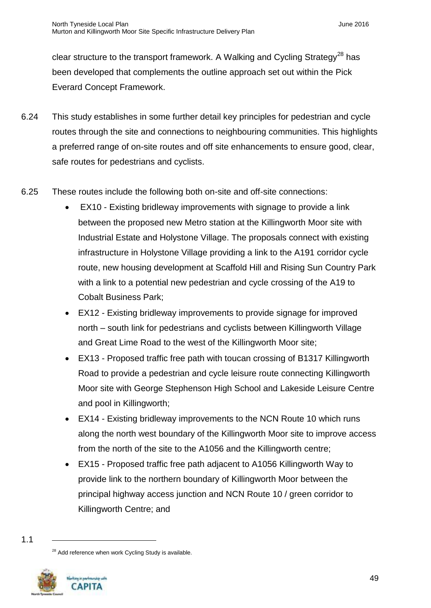clear structure to the transport framework. A Walking and Cycling Strategy<sup>28</sup> has been developed that complements the outline approach set out within the Pick Everard Concept Framework.

- 6.24 This study establishes in some further detail key principles for pedestrian and cycle routes through the site and connections to neighbouring communities. This highlights a preferred range of on-site routes and off site enhancements to ensure good, clear, safe routes for pedestrians and cyclists.
- 6.25 These routes include the following both on-site and off-site connections:
	- EX10 Existing bridleway improvements with signage to provide a link between the proposed new Metro station at the Killingworth Moor site with Industrial Estate and Holystone Village. The proposals connect with existing infrastructure in Holystone Village providing a link to the A191 corridor cycle route, new housing development at Scaffold Hill and Rising Sun Country Park with a link to a potential new pedestrian and cycle crossing of the A19 to Cobalt Business Park;
	- EX12 Existing bridleway improvements to provide signage for improved north – south link for pedestrians and cyclists between Killingworth Village and Great Lime Road to the west of the Killingworth Moor site;
	- EX13 Proposed traffic free path with toucan crossing of B1317 Killingworth Road to provide a pedestrian and cycle leisure route connecting Killingworth Moor site with George Stephenson High School and Lakeside Leisure Centre and pool in Killingworth;
	- EX14 Existing bridleway improvements to the NCN Route 10 which runs along the north west boundary of the Killingworth Moor site to improve access from the north of the site to the A1056 and the Killingworth centre;
	- EX15 Proposed traffic free path adjacent to A1056 Killingworth Way to provide link to the northern boundary of Killingworth Moor between the principal highway access junction and NCN Route 10 / green corridor to Killingworth Centre; and

<sup>&</sup>lt;sup>28</sup> Add reference when work Cycling Study is available.



<sup>1.1</sup>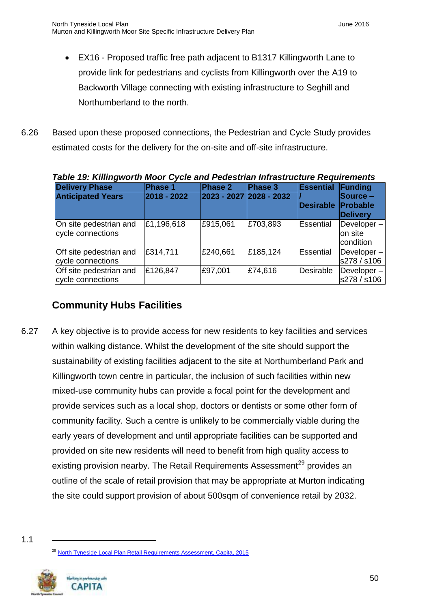- EX16 Proposed traffic free path adjacent to B1317 Killingworth Lane to provide link for pedestrians and cyclists from Killingworth over the A19 to Backworth Village connecting with existing infrastructure to Seghill and Northumberland to the north.
- 6.26 Based upon these proposed connections, the Pedestrian and Cycle Study provides estimated costs for the delivery for the on-site and off-site infrastructure.

| Table 19: Killingworth Moor Cycle and Pedestrian Infrastructure Requirements |             |                           |          |                  |                 |  |  |
|------------------------------------------------------------------------------|-------------|---------------------------|----------|------------------|-----------------|--|--|
| <b>Delivery Phase</b>                                                        | Phase 1     | Phase 2                   | Phase 3  | Essential        | Funding         |  |  |
| <b>Anticipated Years</b>                                                     | 2018 - 2022 | $2023 - 2027$ 2028 - 2032 |          |                  | Source –        |  |  |
|                                                                              |             |                           |          | <b>Desirable</b> | <b>Probable</b> |  |  |
|                                                                              |             |                           |          |                  | <b>Delivery</b> |  |  |
| On site pedestrian and                                                       | £1,196,618  | £915,061                  | £703,893 | Essential        | Developer-      |  |  |
| cycle connections                                                            |             |                           |          |                  | on site         |  |  |
|                                                                              |             |                           |          |                  | lcondition      |  |  |
| Off site pedestrian and                                                      | £314,711    | £240,661                  | £185,124 | Essential        | $Developer -$   |  |  |
| cycle connections                                                            |             |                           |          |                  | s278 / s106     |  |  |
| Off site pedestrian and                                                      | £126,847    | £97,001                   | £74,616  | Desirable        | Developer-      |  |  |
| cycle connections                                                            |             |                           |          |                  | s278 / s106     |  |  |

| Table 19: Killingworth Moor Cycle and Pedestrian Infrastructure Requirements |                 |                 |                          |                          |               |  |  |
|------------------------------------------------------------------------------|-----------------|-----------------|--------------------------|--------------------------|---------------|--|--|
| <b>Delivery Phase</b>                                                        | <b>IPhase 1</b> | <b>IPhase 2</b> | <b>IPhase 3</b>          | <b>Essential Funding</b> |               |  |  |
| <b>Anticinated Years</b>                                                     | 12018 - 2022    |                 | 2023 - 2027  2028 - 2032 |                          | $S$ ource $=$ |  |  |

# <span id="page-51-0"></span>**Community Hubs Facilities**

- 6.27 A key objective is to provide access for new residents to key facilities and services within walking distance. Whilst the development of the site should support the sustainability of existing facilities adjacent to the site at Northumberland Park and Killingworth town centre in particular, the inclusion of such facilities within new mixed-use community hubs can provide a focal point for the development and provide services such as a local shop, doctors or dentists or some other form of community facility. Such a centre is unlikely to be commercially viable during the early years of development and until appropriate facilities can be supported and provided on site new residents will need to benefit from high quality access to existing provision nearby. The Retail Requirements Assessment<sup>29</sup> provides an outline of the scale of retail provision that may be appropriate at Murton indicating the site could support provision of about 500sqm of convenience retail by 2032.
- 1.1

<sup>&</sup>lt;sup>29</sup> [North Tyneside Local Plan Retail Requirements Assessment, Capita, 2015](http://www.northtyneside.gov.uk/pls/portal/NTC_PSCM.PSCM_Web.download?p_ID=562458)

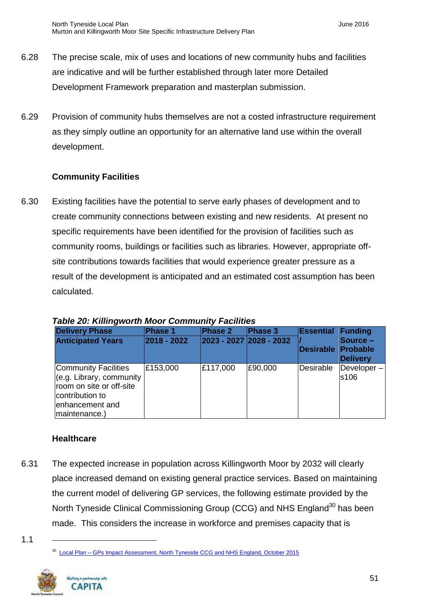- 6.28 The precise scale, mix of uses and locations of new community hubs and facilities are indicative and will be further established through later more Detailed Development Framework preparation and masterplan submission.
- 6.29 Provision of community hubs themselves are not a costed infrastructure requirement as they simply outline an opportunity for an alternative land use within the overall development.

#### **Community Facilities**

6.30 Existing facilities have the potential to serve early phases of development and to create community connections between existing and new residents. At present no specific requirements have been identified for the provision of facilities such as community rooms, buildings or facilities such as libraries. However, appropriate offsite contributions towards facilities that would experience greater pressure as a result of the development is anticipated and an estimated cost assumption has been calculated.

| <b>Delivery Phase</b><br><b>Anticipated Years</b>                                                                                   | Phase 1<br>2018 - 2022 | Phase 2<br>2023 - 2027 2028 - 2032 | Phase 3 | <b>Essential Funding</b><br>Desirable | $\textsf{Source}$ –<br><b>Probable</b><br>Delivery |
|-------------------------------------------------------------------------------------------------------------------------------------|------------------------|------------------------------------|---------|---------------------------------------|----------------------------------------------------|
| Community Facilities<br>(e.g. Library, community<br>room on site or off-site<br>contribution to<br>enhancement and<br>maintenance.) | £153,000               | £117,000                           | £90,000 | Desirable                             | $\Delta$ Developer $-$<br>s106                     |

*Table 20: Killingworth Moor Community Facilities*

#### **Healthcare**

6.31 The expected increase in population across Killingworth Moor by 2032 will clearly place increased demand on existing general practice services. Based on maintaining the current model of delivering GP services, the following estimate provided by the North Tyneside Clinical Commissioning Group (CCG) and NHS England<sup>30</sup> has been made. This considers the increase in workforce and premises capacity that is

<sup>&</sup>lt;sup>30</sup> Local Plan – [GPs Impact Assessment, North Tyneside CCG and NHS England, October 2015](http://www.northtyneside.gov.uk/pls/portal/NTC_PSCM.PSCM_Web.download?p_ID=562559)



<sup>1.1</sup>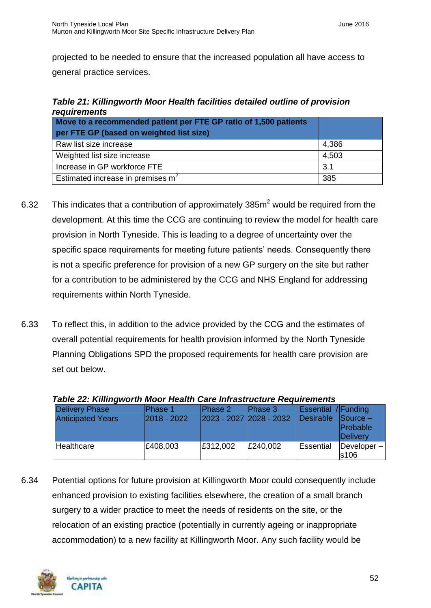projected to be needed to ensure that the increased population all have access to general practice services.

| requirements                                                     |       |  |  |  |  |  |
|------------------------------------------------------------------|-------|--|--|--|--|--|
| Move to a recommended patient per FTE GP ratio of 1,500 patients |       |  |  |  |  |  |
| per FTE GP (based on weighted list size)                         |       |  |  |  |  |  |
| Raw list size increase                                           | 4,386 |  |  |  |  |  |
| Weighted list size increase                                      | 4,503 |  |  |  |  |  |
| Increase in GP workforce FTE                                     | 3.1   |  |  |  |  |  |
| Estimated increase in premises m <sup>2</sup>                    | 385   |  |  |  |  |  |

# *Table 21: Killingworth Moor Health facilities detailed outline of provision*

- 6.32 This indicates that a contribution of approximately  $385m^2$  would be required from the development. At this time the CCG are continuing to review the model for health care provision in North Tyneside. This is leading to a degree of uncertainty over the specific space requirements for meeting future patients' needs. Consequently there is not a specific preference for provision of a new GP surgery on the site but rather for a contribution to be administered by the CCG and NHS England for addressing requirements within North Tyneside.
- 6.33 To reflect this, in addition to the advice provided by the CCG and the estimates of overall potential requirements for health provision informed by the North Tyneside Planning Obligations SPD the proposed requirements for health care provision are set out below.

| rapic 22. runnigworumoor ncann oarc innasu actarc ricganchichts |                 |                         |                |                            |                                                     |
|-----------------------------------------------------------------|-----------------|-------------------------|----------------|----------------------------|-----------------------------------------------------|
| <b>Delivery Phase</b>                                           | Phase 1         | Phase 2                 | <b>Phase 3</b> | <b>Essential / Funding</b> |                                                     |
| <b>Anticipated Years</b>                                        | $ 2018 - 2022 $ | 2023 - 2027 2028 - 2032 |                | Desirable                  | $\sqrt{\frac{1}{2}}$<br><b>Probable</b><br>Delivery |
| Healthcare                                                      | £408,003        | E312,002                | £240,002       | Essential                  | $\vert$ Developer $- \vert$<br>s106                 |

#### *Table 22: Killingworth Moor Health Care Infrastructure Requirements*

6.34 Potential options for future provision at Killingworth Moor could consequently include enhanced provision to existing facilities elsewhere, the creation of a small branch surgery to a wider practice to meet the needs of residents on the site, or the relocation of an existing practice (potentially in currently ageing or inappropriate accommodation) to a new facility at Killingworth Moor. Any such facility would be

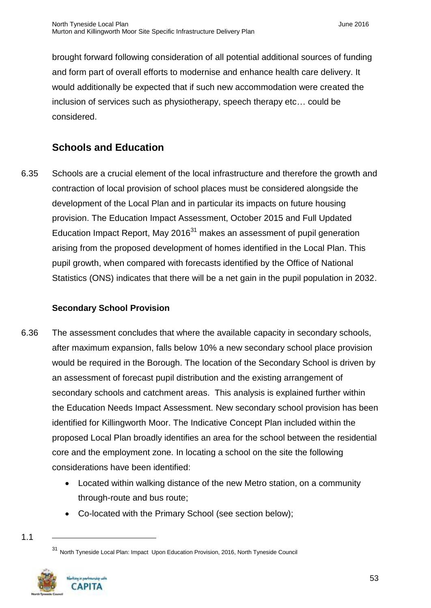brought forward following consideration of all potential additional sources of funding and form part of overall efforts to modernise and enhance health care delivery. It would additionally be expected that if such new accommodation were created the inclusion of services such as physiotherapy, speech therapy etc… could be considered.

# <span id="page-54-0"></span>**Schools and Education**

6.35 Schools are a crucial element of the local infrastructure and therefore the growth and contraction of local provision of school places must be considered alongside the development of the Local Plan and in particular its impacts on future housing provision. The Education Impact Assessment, October 2015 and Full Updated Education Impact Report, May 2016 $31$  makes an assessment of pupil generation arising from the proposed development of homes identified in the Local Plan. This pupil growth, when compared with forecasts identified by the Office of National Statistics (ONS) indicates that there will be a net gain in the pupil population in 2032.

#### **Secondary School Provision**

- 6.36 The assessment concludes that where the available capacity in secondary schools, after maximum expansion, falls below 10% a new secondary school place provision would be required in the Borough. The location of the Secondary School is driven by an assessment of forecast pupil distribution and the existing arrangement of secondary schools and catchment areas. This analysis is explained further within the Education Needs Impact Assessment. New secondary school provision has been identified for Killingworth Moor. The Indicative Concept Plan included within the proposed Local Plan broadly identifies an area for the school between the residential core and the employment zone. In locating a school on the site the following considerations have been identified:
	- Located within walking distance of the new Metro station, on a community through-route and bus route;
	- Co-located with the Primary School (see section below);

<sup>31</sup> North Tyneside Local Plan: Impact Upon Education Provision, 2016, North Tyneside Council

<sup>1.1</sup> 

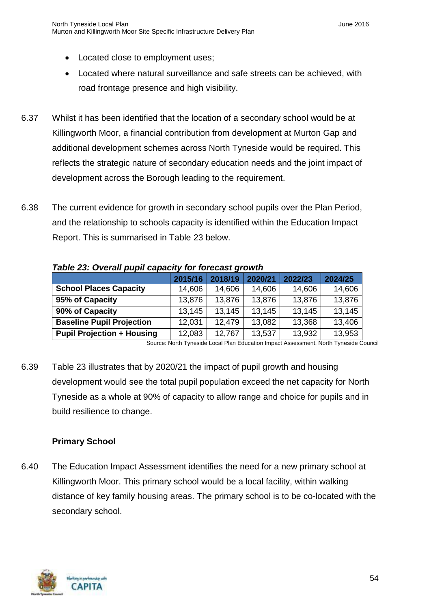- Located close to employment uses;
- Located where natural surveillance and safe streets can be achieved, with road frontage presence and high visibility.
- 6.37 Whilst it has been identified that the location of a secondary school would be at Killingworth Moor, a financial contribution from development at Murton Gap and additional development schemes across North Tyneside would be required. This reflects the strategic nature of secondary education needs and the joint impact of development across the Borough leading to the requirement.
- 6.38 The current evidence for growth in secondary school pupils over the Plan Period, and the relationship to schools capacity is identified within the Education Impact Report. This is summarised in Table 23 below.

|                                   | 2015/16 | 2018/19 | 2020/21 | 2022/23 | 2024/25 |  |
|-----------------------------------|---------|---------|---------|---------|---------|--|
| <b>School Places Capacity</b>     | 14,606  | 14,606  | 14,606  | 14,606  | 14,606  |  |
| 95% of Capacity                   | 13,876  | 13,876  | 13,876  | 13,876  | 13,876  |  |
| 90% of Capacity                   | 13,145  | 13,145  | 13,145  | 13,145  | 13,145  |  |
| <b>Baseline Pupil Projection</b>  | 12,031  | 12,479  | 13,082  | 13,368  | 13,406  |  |
| <b>Pupil Projection + Housing</b> | 12,083  | 12,767  | 13,537  | 13,932  | 13,953  |  |

*Table 23: Overall pupil capacity for forecast growth*

Source: North Tyneside Local Plan Education Impact Assessment, North Tyneside Council

6.39 Table 23 illustrates that by 2020/21 the impact of pupil growth and housing development would see the total pupil population exceed the net capacity for North Tyneside as a whole at 90% of capacity to allow range and choice for pupils and in build resilience to change.

#### **Primary School**

6.40 The Education Impact Assessment identifies the need for a new primary school at Killingworth Moor. This primary school would be a local facility, within walking distance of key family housing areas. The primary school is to be co-located with the secondary school.

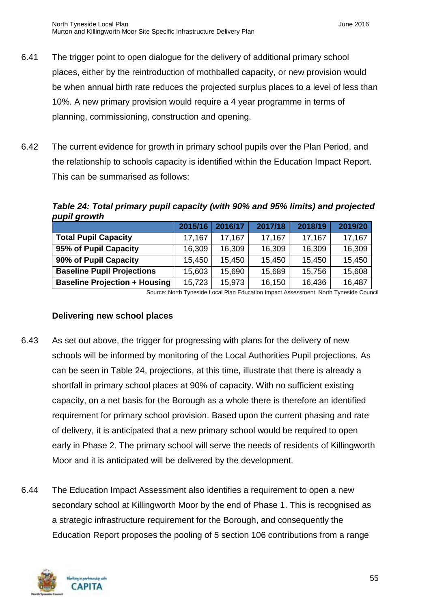- 6.41 The trigger point to open dialogue for the delivery of additional primary school places, either by the reintroduction of mothballed capacity, or new provision would be when annual birth rate reduces the projected surplus places to a level of less than 10%. A new primary provision would require a 4 year programme in terms of planning, commissioning, construction and opening.
- 6.42 The current evidence for growth in primary school pupils over the Plan Period, and the relationship to schools capacity is identified within the Education Impact Report. This can be summarised as follows:

*Table 24: Total primary pupil capacity (with 90% and 95% limits) and projected pupil growth*

|                                      | 2015/16 | 2016/17 | 2017/18 | 2018/19 | 2019/20 |
|--------------------------------------|---------|---------|---------|---------|---------|
| <b>Total Pupil Capacity</b>          | 17,167  | 17.167  | 17,167  | 17,167  | 17,167  |
| 95% of Pupil Capacity                | 16,309  | 16,309  | 16,309  | 16,309  | 16,309  |
| 90% of Pupil Capacity                | 15,450  | 15,450  | 15,450  | 15,450  | 15,450  |
| <b>Baseline Pupil Projections</b>    | 15,603  | 15,690  | 15,689  | 15,756  | 15,608  |
| <b>Baseline Projection + Housing</b> | 15,723  | 15,973  | 16,150  | 16,436  | 16,487  |

Source: North Tyneside Local Plan Education Impact Assessment, North Tyneside Council

#### **Delivering new school places**

- 6.43 As set out above, the trigger for progressing with plans for the delivery of new schools will be informed by monitoring of the Local Authorities Pupil projections. As can be seen in Table 24, projections, at this time, illustrate that there is already a shortfall in primary school places at 90% of capacity. With no sufficient existing capacity, on a net basis for the Borough as a whole there is therefore an identified requirement for primary school provision. Based upon the current phasing and rate of delivery, it is anticipated that a new primary school would be required to open early in Phase 2. The primary school will serve the needs of residents of Killingworth Moor and it is anticipated will be delivered by the development.
- 6.44 The Education Impact Assessment also identifies a requirement to open a new secondary school at Killingworth Moor by the end of Phase 1. This is recognised as a strategic infrastructure requirement for the Borough, and consequently the Education Report proposes the pooling of 5 section 106 contributions from a range

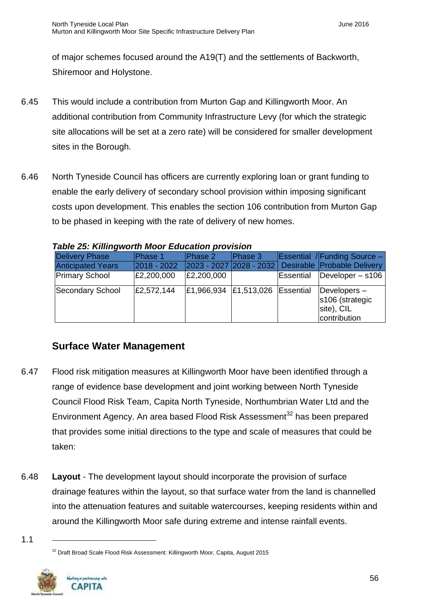of major schemes focused around the A19(T) and the settlements of Backworth, Shiremoor and Holystone.

- 6.45 This would include a contribution from Murton Gap and Killingworth Moor. An additional contribution from Community Infrastructure Levy (for which the strategic site allocations will be set at a zero rate) will be considered for smaller development sites in the Borough.
- 6.46 North Tyneside Council has officers are currently exploring loan or grant funding to enable the early delivery of secondary school provision within imposing significant costs upon development. This enables the section 106 contribution from Murton Gap to be phased in keeping with the rate of delivery of new homes.

| rabic zu. Killingwurth Mour Luddation provision |            |                           |         |           |                                                                 |
|-------------------------------------------------|------------|---------------------------|---------|-----------|-----------------------------------------------------------------|
| <b>Delivery Phase</b>                           | Phase 1    | Phase 2                   | Phase 3 |           | <b>Essential / Funding Source -</b>                             |
| <b>Anticipated Years</b>                        |            |                           |         |           | 2018 - 2022 2023 - 2027 2028 - 2032 Desirable Probable Delivery |
| <b>Primary School</b>                           | £2,200,000 | £2,200,000                |         | Essential | Developer $-$ s106                                              |
| Secondary School                                | £2,572,144 | $E1,966,934$ $E1,513,026$ |         | Essential | Developers $-$<br>s106 (strategic<br>site), CIL<br>contribution |

*Table 25: Killingworth Moor Education provision*

# <span id="page-57-0"></span>**Surface Water Management**

- 6.47 Flood risk mitigation measures at Killingworth Moor have been identified through a range of evidence base development and joint working between North Tyneside Council Flood Risk Team, Capita North Tyneside, Northumbrian Water Ltd and the Environment Agency. An area based Flood Risk Assessment<sup>32</sup> has been prepared that provides some initial directions to the type and scale of measures that could be taken:
- 6.48 **Layout** The development layout should incorporate the provision of surface drainage features within the layout, so that surface water from the land is channelled into the attenuation features and suitable watercourses, keeping residents within and around the Killingworth Moor safe during extreme and intense rainfall events.

<sup>&</sup>lt;sup>32</sup> Draft Broad Scale Flood Risk Assessment: Killingworth Moor, Capita, August 2015



<sup>1.1</sup>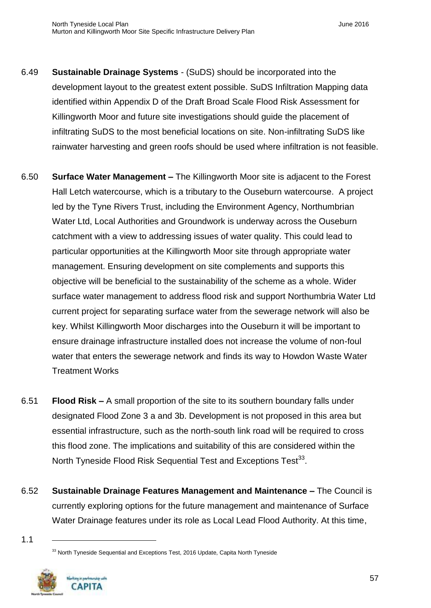- 6.49 **Sustainable Drainage Systems** (SuDS) should be incorporated into the development layout to the greatest extent possible. SuDS Infiltration Mapping data identified within Appendix D of the Draft Broad Scale Flood Risk Assessment for Killingworth Moor and future site investigations should guide the placement of infiltrating SuDS to the most beneficial locations on site. Non-infiltrating SuDS like rainwater harvesting and green roofs should be used where infiltration is not feasible.
- 6.50 **Surface Water Management –** The Killingworth Moor site is adjacent to the Forest Hall Letch watercourse, which is a tributary to the Ouseburn watercourse. A project led by the Tyne Rivers Trust, including the Environment Agency, Northumbrian Water Ltd, Local Authorities and Groundwork is underway across the Ouseburn catchment with a view to addressing issues of water quality. This could lead to particular opportunities at the Killingworth Moor site through appropriate water management. Ensuring development on site complements and supports this objective will be beneficial to the sustainability of the scheme as a whole. Wider surface water management to address flood risk and support Northumbria Water Ltd current project for separating surface water from the sewerage network will also be key. Whilst Killingworth Moor discharges into the Ouseburn it will be important to ensure drainage infrastructure installed does not increase the volume of non-foul water that enters the sewerage network and finds its way to Howdon Waste Water Treatment Works
- 6.51 **Flood Risk –** A small proportion of the site to its southern boundary falls under designated Flood Zone 3 a and 3b. Development is not proposed in this area but essential infrastructure, such as the north-south link road will be required to cross this flood zone. The implications and suitability of this are considered within the North Tyneside Flood Risk Sequential Test and Exceptions Test<sup>33</sup>.
- 6.52 **Sustainable Drainage Features Management and Maintenance –** The Council is currently exploring options for the future management and maintenance of Surface Water Drainage features under its role as Local Lead Flood Authority. At this time,

<sup>&</sup>lt;sup>33</sup> North Tyneside Sequential and Exceptions Test, 2016 Update, Capita North Tyneside



<sup>1.1</sup>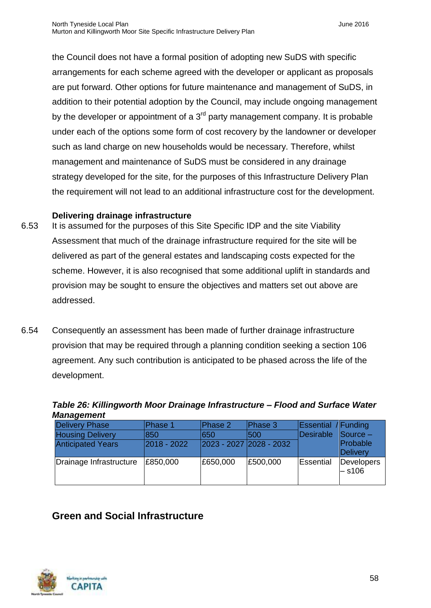the Council does not have a formal position of adopting new SuDS with specific arrangements for each scheme agreed with the developer or applicant as proposals are put forward. Other options for future maintenance and management of SuDS, in addition to their potential adoption by the Council, may include ongoing management by the developer or appointment of a  $3<sup>rd</sup>$  party management company. It is probable under each of the options some form of cost recovery by the landowner or developer such as land charge on new households would be necessary. Therefore, whilst management and maintenance of SuDS must be considered in any drainage strategy developed for the site, for the purposes of this Infrastructure Delivery Plan the requirement will not lead to an additional infrastructure cost for the development.

#### **Delivering drainage infrastructure**

- 6.53 It is assumed for the purposes of this Site Specific IDP and the site Viability Assessment that much of the drainage infrastructure required for the site will be delivered as part of the general estates and landscaping costs expected for the scheme. However, it is also recognised that some additional uplift in standards and provision may be sought to ensure the objectives and matters set out above are addressed.
- 6.54 Consequently an assessment has been made of further drainage infrastructure provision that may be required through a planning condition seeking a section 106 agreement. Any such contribution is anticipated to be phased across the life of the development.

| Table 26: Killingworth Moor Drainage Infrastructure - Flood and Surface Water |  |  |  |
|-------------------------------------------------------------------------------|--|--|--|
| <b>Management</b>                                                             |  |  |  |
|                                                                               |  |  |  |

| <b>Delivery Phase</b>    | Phase 1     | Phase 2  | Phase 3                 | <b>Essential</b> / Funding |                               |
|--------------------------|-------------|----------|-------------------------|----------------------------|-------------------------------|
| <b>Housing Delivery</b>  | 1850        | 1650     | 1500                    | Desirable                  | $\sqrt{\frac{1}{2}}$ Source – |
| <b>Anticipated Years</b> | 2018 - 2022 |          | 2023 - 2027 2028 - 2032 |                            | Probable                      |
|                          |             |          |                         |                            | Delivery                      |
| Drainage Infrastructure  | £850,000    | £650,000 | £500,000                | Essential                  | Developers                    |
|                          |             |          |                         |                            | $-$ s106                      |
|                          |             |          |                         |                            |                               |

## <span id="page-59-0"></span>**Green and Social Infrastructure**

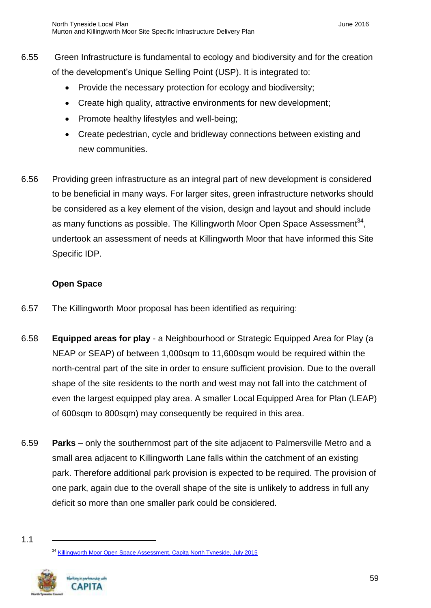- 6.55 Green Infrastructure is fundamental to ecology and biodiversity and for the creation of the development's Unique Selling Point (USP). It is integrated to:
	- Provide the necessary protection for ecology and biodiversity;
	- Create high quality, attractive environments for new development;
	- Promote healthy lifestyles and well-being;
	- Create pedestrian, cycle and bridleway connections between existing and new communities.
- 6.56 Providing green infrastructure as an integral part of new development is considered to be beneficial in many ways. For larger sites, green infrastructure networks should be considered as a key element of the vision, design and layout and should include as many functions as possible. The Killingworth Moor Open Space Assessment<sup>34</sup>, undertook an assessment of needs at Killingworth Moor that have informed this Site Specific IDP.

#### **Open Space**

- 6.57 The Killingworth Moor proposal has been identified as requiring:
- 6.58 **Equipped areas for play**  a Neighbourhood or Strategic Equipped Area for Play (a NEAP or SEAP) of between 1,000sqm to 11,600sqm would be required within the north-central part of the site in order to ensure sufficient provision. Due to the overall shape of the site residents to the north and west may not fall into the catchment of even the largest equipped play area. A smaller Local Equipped Area for Plan (LEAP) of 600sqm to 800sqm) may consequently be required in this area.
- 6.59 **Parks** only the southernmost part of the site adjacent to Palmersville Metro and a small area adjacent to Killingworth Lane falls within the catchment of an existing park. Therefore additional park provision is expected to be required. The provision of one park, again due to the overall shape of the site is unlikely to address in full any deficit so more than one smaller park could be considered.

<sup>&</sup>lt;sup>34</sup> [Killingworth Moor Open Space Assessment, Capita North Tyneside, July 2015](http://www.northtyneside.gov.uk/pls/portal/NTC_PSCM.PSCM_Web.download?p_ID=562460)



<sup>1.1</sup>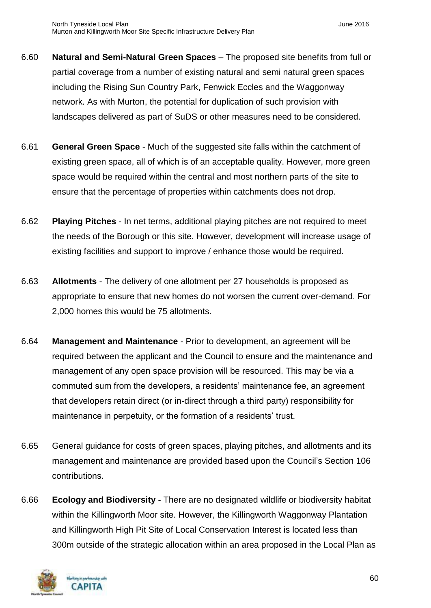- 6.60 **Natural and Semi-Natural Green Spaces** The proposed site benefits from full or partial coverage from a number of existing natural and semi natural green spaces including the Rising Sun Country Park, Fenwick Eccles and the Waggonway network. As with Murton, the potential for duplication of such provision with landscapes delivered as part of SuDS or other measures need to be considered.
- 6.61 **General Green Space** Much of the suggested site falls within the catchment of existing green space, all of which is of an acceptable quality. However, more green space would be required within the central and most northern parts of the site to ensure that the percentage of properties within catchments does not drop.
- 6.62 **Playing Pitches** In net terms, additional playing pitches are not required to meet the needs of the Borough or this site. However, development will increase usage of existing facilities and support to improve / enhance those would be required.
- 6.63 **Allotments** The delivery of one allotment per 27 households is proposed as appropriate to ensure that new homes do not worsen the current over-demand. For 2,000 homes this would be 75 allotments.
- 6.64 **Management and Maintenance** Prior to development, an agreement will be required between the applicant and the Council to ensure and the maintenance and management of any open space provision will be resourced. This may be via a commuted sum from the developers, a residents' maintenance fee, an agreement that developers retain direct (or in-direct through a third party) responsibility for maintenance in perpetuity, or the formation of a residents' trust.
- 6.65 General guidance for costs of green spaces, playing pitches, and allotments and its management and maintenance are provided based upon the Council's Section 106 contributions.
- 6.66 **Ecology and Biodiversity -** There are no designated wildlife or biodiversity habitat within the Killingworth Moor site. However, the Killingworth Waggonway Plantation and Killingworth High Pit Site of Local Conservation Interest is located less than 300m outside of the strategic allocation within an area proposed in the Local Plan as

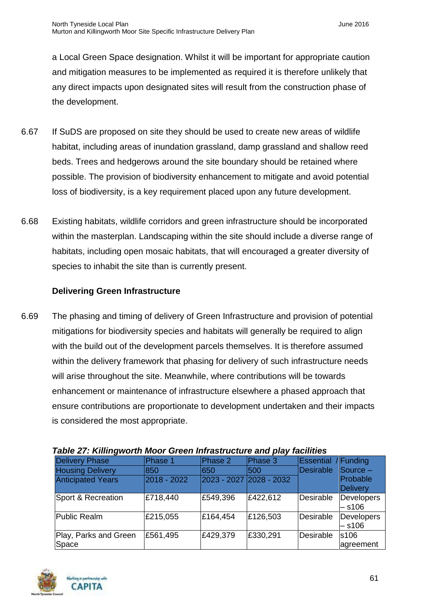a Local Green Space designation. Whilst it will be important for appropriate caution and mitigation measures to be implemented as required it is therefore unlikely that any direct impacts upon designated sites will result from the construction phase of the development.

- 6.67 If SuDS are proposed on site they should be used to create new areas of wildlife habitat, including areas of inundation grassland, damp grassland and shallow reed beds. Trees and hedgerows around the site boundary should be retained where possible. The provision of biodiversity enhancement to mitigate and avoid potential loss of biodiversity, is a key requirement placed upon any future development.
- 6.68 Existing habitats, wildlife corridors and green infrastructure should be incorporated within the masterplan. Landscaping within the site should include a diverse range of habitats, including open mosaic habitats, that will encouraged a greater diversity of species to inhabit the site than is currently present.

#### **Delivering Green Infrastructure**

6.69 The phasing and timing of delivery of Green Infrastructure and provision of potential mitigations for biodiversity species and habitats will generally be required to align with the build out of the development parcels themselves. It is therefore assumed within the delivery framework that phasing for delivery of such infrastructure needs will arise throughout the site. Meanwhile, where contributions will be towards enhancement or maintenance of infrastructure elsewhere a phased approach that ensure contributions are proportionate to development undertaken and their impacts is considered the most appropriate.

|                                |             |                         | - - - -  |                            |                               |
|--------------------------------|-------------|-------------------------|----------|----------------------------|-------------------------------|
| <b>Delivery Phase</b>          | Phase 1     | Phase 2                 | Phase 3  | <b>Essential</b> / Funding |                               |
| <b>Housing Delivery</b>        | 850         | 1650                    | 500      | Desirable                  | Source -                      |
| <b>Anticipated Years</b>       | 2018 - 2022 | 2023 - 2027 2028 - 2032 |          |                            | Probable<br>Delivery          |
| Sport & Recreation             | £718,440    | £549,396                | £422,612 | Desirable                  | Developers<br>$-$ s106        |
| Public Realm                   | £215,055    | £164,454                | £126,503 | Desirable                  | Developers<br>$-$ s106        |
| Play, Parks and Green<br>Space | £561,495    | £429,379                | £330,291 | Desirable                  | s <sub>106</sub><br>agreement |

*Table 27: Killingworth Moor Green Infrastructure and play facilities*

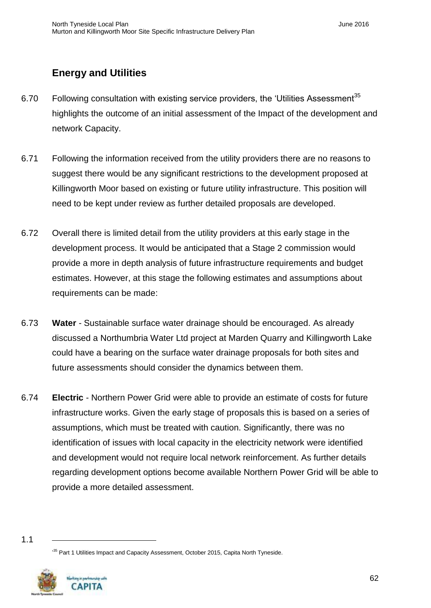# <span id="page-63-0"></span>**Energy and Utilities**

- 6.70 Following consultation with existing service providers, the 'Utilities Assessment<sup>35</sup> highlights the outcome of an initial assessment of the Impact of the development and network Capacity.
- 6.71 Following the information received from the utility providers there are no reasons to suggest there would be any significant restrictions to the development proposed at Killingworth Moor based on existing or future utility infrastructure. This position will need to be kept under review as further detailed proposals are developed.
- 6.72 Overall there is limited detail from the utility providers at this early stage in the development process. It would be anticipated that a Stage 2 commission would provide a more in depth analysis of future infrastructure requirements and budget estimates. However, at this stage the following estimates and assumptions about requirements can be made:
- 6.73 **Water**  Sustainable surface water drainage should be encouraged. As already discussed a Northumbria Water Ltd project at Marden Quarry and Killingworth Lake could have a bearing on the surface water drainage proposals for both sites and future assessments should consider the dynamics between them.
- 6.74 **Electric**  Northern Power Grid were able to provide an estimate of costs for future infrastructure works. Given the early stage of proposals this is based on a series of assumptions, which must be treated with caution. Significantly, there was no identification of issues with local capacity in the electricity network were identified and development would not require local network reinforcement. As further details regarding development options become available Northern Power Grid will be able to provide a more detailed assessment.

<sup>&</sup>lt;sup>35</sup> Part 1 Utilities Impact and Capacity Assessment, October 2015, Capita North Tyneside.



<sup>1.1</sup>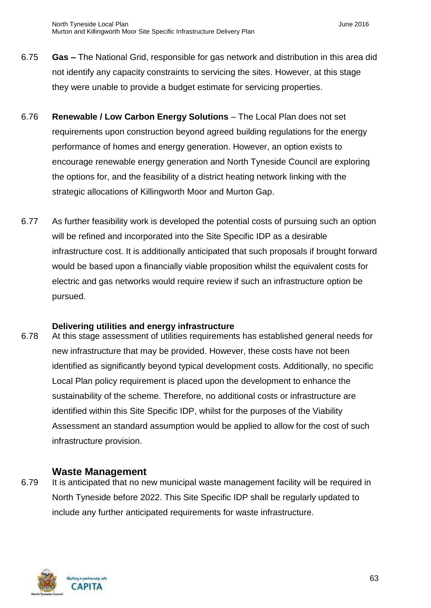- 6.75 **Gas –** The National Grid, responsible for gas network and distribution in this area did not identify any capacity constraints to servicing the sites. However, at this stage they were unable to provide a budget estimate for servicing properties.
- 6.76 **Renewable / Low Carbon Energy Solutions** The Local Plan does not set requirements upon construction beyond agreed building regulations for the energy performance of homes and energy generation. However, an option exists to encourage renewable energy generation and North Tyneside Council are exploring the options for, and the feasibility of a district heating network linking with the strategic allocations of Killingworth Moor and Murton Gap.
- 6.77 As further feasibility work is developed the potential costs of pursuing such an option will be refined and incorporated into the Site Specific IDP as a desirable infrastructure cost. It is additionally anticipated that such proposals if brought forward would be based upon a financially viable proposition whilst the equivalent costs for electric and gas networks would require review if such an infrastructure option be pursued.

#### **Delivering utilities and energy infrastructure**

6.78 At this stage assessment of utilities requirements has established general needs for new infrastructure that may be provided. However, these costs have not been identified as significantly beyond typical development costs. Additionally, no specific Local Plan policy requirement is placed upon the development to enhance the sustainability of the scheme. Therefore, no additional costs or infrastructure are identified within this Site Specific IDP, whilst for the purposes of the Viability Assessment an standard assumption would be applied to allow for the cost of such infrastructure provision.

#### <span id="page-64-0"></span>**Waste Management**

6.79 It is anticipated that no new municipal waste management facility will be required in North Tyneside before 2022. This Site Specific IDP shall be regularly updated to include any further anticipated requirements for waste infrastructure.

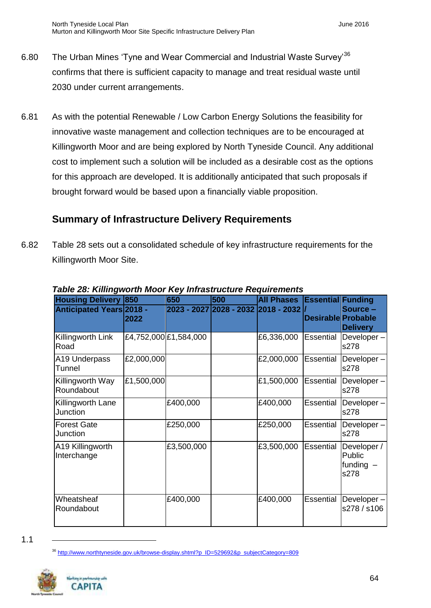- 6.80 The Urban Mines 'Tyne and Wear Commercial and Industrial Waste Survey<sup>36</sup> confirms that there is sufficient capacity to manage and treat residual waste until 2030 under current arrangements.
- 6.81 As with the potential Renewable / Low Carbon Energy Solutions the feasibility for innovative waste management and collection techniques are to be encouraged at Killingworth Moor and are being explored by North Tyneside Council. Any additional cost to implement such a solution will be included as a desirable cost as the options for this approach are developed. It is additionally anticipated that such proposals if brought forward would be based upon a financially viable proposition.

## <span id="page-65-0"></span>**Summary of Infrastructure Delivery Requirements**

6.82 Table 28 sets out a consolidated schedule of key infrastructure requirements for the Killingworth Moor Site.

| rapic zu. runngwurun moor ricy minasu actarc ricquirchichts |            | 650                   | 500 |                                     |                           |                                              |
|-------------------------------------------------------------|------------|-----------------------|-----|-------------------------------------|---------------------------|----------------------------------------------|
| <b>Housing Delivery 850</b>                                 |            |                       |     | <b>All Phases</b>                   | <b>Essential Funding</b>  |                                              |
| <b>Anticipated Years 2018 -</b>                             | 2022       |                       |     | 2023 - 2027 2028 - 2032 2018 - 2032 | <b>Desirable Probable</b> | Source -<br><b>Delivery</b>                  |
| Killingworth Link<br>Road                                   |            | £4,752,000 £1,584,000 |     | £6,336,000                          | Essential                 | Developer-<br>s278                           |
| A19 Underpass<br>Tunnel                                     | £2,000,000 |                       |     | £2,000,000                          | Essential                 | Developer-<br>s278                           |
| Killingworth Way<br>Roundabout                              | £1,500,000 |                       |     | £1,500,000                          | Essential                 | Developer-<br>s278                           |
| Killingworth Lane<br>Junction                               |            | £400,000              |     | £400,000                            | Essential                 | Developer-<br>s278                           |
| <b>Forest Gate</b><br>Junction                              |            | £250,000              |     | £250,000                            | Essential                 | Developer-<br>s278                           |
| A19 Killingworth<br>Interchange                             |            | £3,500,000            |     | £3,500,000                          | Essential                 | Developer /<br>Public<br>funding $-$<br>s278 |
| Wheatsheaf<br>Roundabout                                    |            | £400,000              |     | £400,000                            | <b>Essential</b>          | Developer-<br>s278 / s106                    |

#### *Table 28: Killingworth Moor Key Infrastructure Requirements*

<sup>&</sup>lt;sup>36</sup> [http://www.northtyneside.gov.uk/browse-display.shtml?p\\_ID=529692&p\\_subjectCategory=809](http://www.northtyneside.gov.uk/browse-display.shtml?p_ID=529692&p_subjectCategory=809)



<sup>1.1</sup>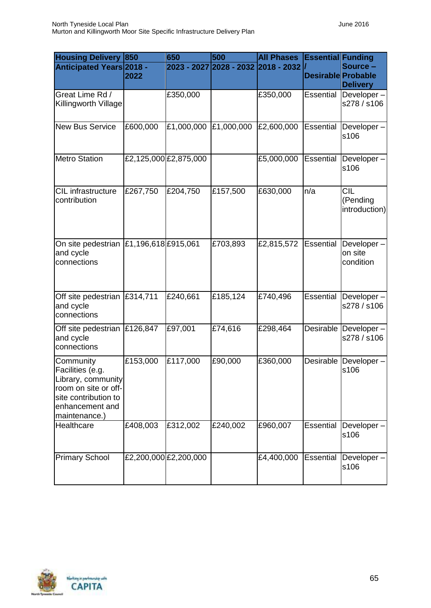| <b>Housing Delivery</b>                                                                                                                 | 850                 | 650                   | 500                                 | <b>All Phases</b> | <b>Essential Funding</b>  |                                          |
|-----------------------------------------------------------------------------------------------------------------------------------------|---------------------|-----------------------|-------------------------------------|-------------------|---------------------------|------------------------------------------|
| <b>Anticipated Years 2018 -</b>                                                                                                         | 2022                |                       | 2023 - 2027 2028 - 2032 2018 - 2032 |                   | <b>Desirable Probable</b> | Source -<br><b>Delivery</b>              |
| Great Lime Rd /<br>Killingworth Village                                                                                                 |                     | £350,000              |                                     | £350,000          | <b>Essential</b>          | $\overline{D}$ eveloper –<br>s278 / s106 |
| <b>New Bus Service</b>                                                                                                                  | £600,000            | £1,000,000            | £1,000,000                          | £2,600,000        | <b>Essential</b>          | Developer-<br>s106                       |
| <b>Metro Station</b>                                                                                                                    |                     | £2,125,000 £2,875,000 |                                     | £5,000,000        | Essential                 | Developer-<br>s106                       |
| CIL infrastructure<br>contribution                                                                                                      | £267,750            | £204,750              | £157,500                            | £630,000          | n/a                       | <b>CIL</b><br>(Pending<br>introduction)  |
| On site pedestrian<br>and cycle<br>connections                                                                                          | £1,196,618 £915,061 |                       | £703,893                            | £2,815,572        | Essential                 | Developer-<br>on site<br>condition       |
| Off site pedestrian E314,711<br>and cycle<br>connections                                                                                |                     | £240,661              | £185,124                            | £740,496          | Essential                 | $\overline{D}$ eveloper –<br>s278 / s106 |
| Off site pedestrian<br>and cycle<br>connections                                                                                         | £126,847            | £97,001               | £74,616                             | £298,464          | Desirable                 | Developer-<br>s278 / s106                |
| Community<br>Facilities (e.g.<br>Library, community<br>room on site or off-<br>site contribution to<br>enhancement and<br>maintenance.) | £153,000            | £117,000              | £90,000                             | £360,000          | Desirable                 | Developer-<br>s106                       |
| Healthcare                                                                                                                              | £408,003            | £312,002              | £240,002                            | £960,007          | <b>Essential</b>          | Developer-<br>s106                       |
| <b>Primary School</b>                                                                                                                   |                     | £2,200,000 £2,200,000 |                                     | £4,400,000        | Essential                 | Developer-<br>s106                       |

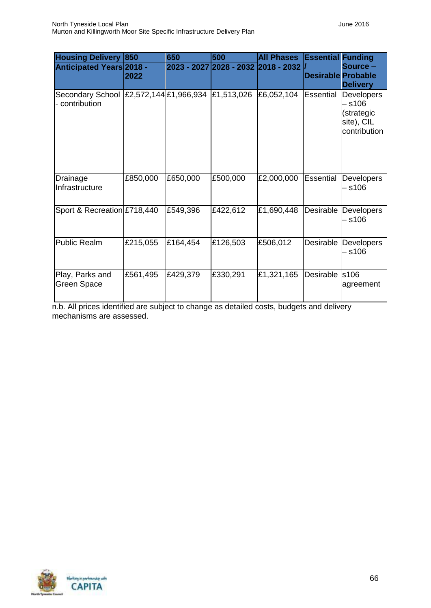| <b>Housing Delivery</b>                                  | 850      | 650      | 500        | <b>All Phases</b>                   | <b>Essential Funding</b>  |                                                                  |
|----------------------------------------------------------|----------|----------|------------|-------------------------------------|---------------------------|------------------------------------------------------------------|
| <b>Anticipated Years 2018 -</b>                          | 2022     |          |            | 2023 - 2027 2028 - 2032 2018 - 2032 | <b>Desirable Probable</b> | Source -<br><b>Delivery</b>                                      |
| Secondary School E2,572,144 £1,966,934<br>- contribution |          |          | £1,513,026 | £6,052,104                          | Essential                 | Developers<br>– s106<br>(strategic<br>site), CIL<br>contribution |
| Drainage<br>Infrastructure                               | £850,000 | £650,000 | £500,000   | £2,000,000                          | <b>Essential</b>          | Developers<br>– s106                                             |
| Sport & Recreation £718,440                              |          | £549,396 | £422,612   | £1,690,448                          | Desirable                 | Developers<br>– s106                                             |
| <b>Public Realm</b>                                      | £215,055 | £164,454 | £126,503   | £506,012                            | Desirable                 | Developers<br>– s106                                             |
| Play, Parks and<br>Green Space                           | £561,495 | £429,379 | £330,291   | £1,321,165                          | Desirable                 | s106<br>agreement                                                |

n.b. All prices identified are subject to change as detailed costs, budgets and delivery mechanisms are assessed.